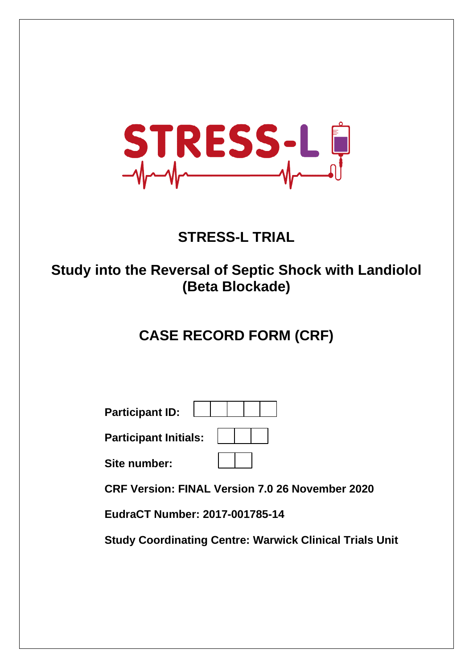

# **STRESS-L TRIAL**

### **Study into the Reversal of Septic Shock with Landiolol (Beta Blockade)**

# **CASE RECORD FORM (CRF)**

| <b>Participant ID:</b>       |  |
|------------------------------|--|
| <b>Participant Initials:</b> |  |
| Site number:                 |  |

 **CRF Version: FINAL Version 7.0 26 November 2020** 

 **EudraCT Number: 2017-001785-14** 

 **Study Coordinating Centre: Warwick Clinical Trials Unit**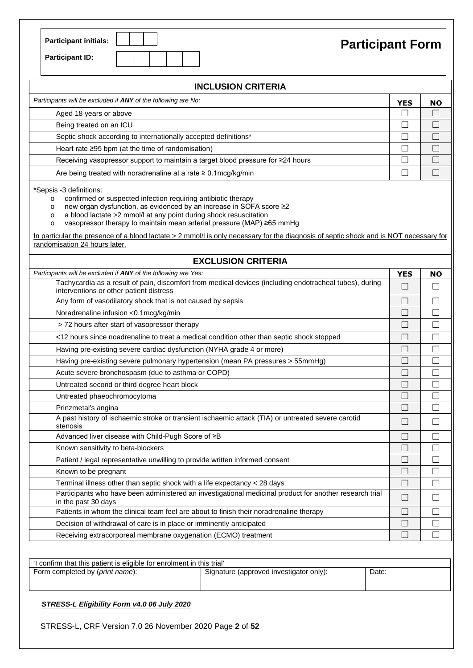| <b>Participant initials:</b> |  |  |
|------------------------------|--|--|
| <b>Participant ID:</b>       |  |  |

# **Participant Form**

| <b>INCLUSION CRITERIA</b>                                                                                                                                                                                                                                                                                                                                                                                                                                                                                                           |            |                   |  |  |  |
|-------------------------------------------------------------------------------------------------------------------------------------------------------------------------------------------------------------------------------------------------------------------------------------------------------------------------------------------------------------------------------------------------------------------------------------------------------------------------------------------------------------------------------------|------------|-------------------|--|--|--|
| Participants will be excluded if ANY of the following are No:                                                                                                                                                                                                                                                                                                                                                                                                                                                                       | <b>YES</b> | <b>NO</b>         |  |  |  |
| Aged 18 years or above                                                                                                                                                                                                                                                                                                                                                                                                                                                                                                              |            |                   |  |  |  |
| Being treated on an ICU                                                                                                                                                                                                                                                                                                                                                                                                                                                                                                             |            |                   |  |  |  |
| Septic shock according to internationally accepted definitions*                                                                                                                                                                                                                                                                                                                                                                                                                                                                     |            | □                 |  |  |  |
| Heart rate ≥95 bpm (at the time of randomisation)                                                                                                                                                                                                                                                                                                                                                                                                                                                                                   |            | □                 |  |  |  |
| Receiving vasopressor support to maintain a target blood pressure for ≥24 hours                                                                                                                                                                                                                                                                                                                                                                                                                                                     |            | □                 |  |  |  |
| Are being treated with noradrenaline at a rate $\geq 0.1$ mcg/kg/min                                                                                                                                                                                                                                                                                                                                                                                                                                                                |            | $\Box$            |  |  |  |
| *Sepsis -3 definitions:<br>confirmed or suspected infection requiring antibiotic therapy<br>$\circ$<br>new organ dysfunction, as evidenced by an increase in SOFA score ≥2<br>$\circ$<br>a blood lactate >2 mmol/l at any point during shock resuscitation<br>$\circ$<br>vasopressor therapy to maintain mean arterial pressure (MAP) ≥65 mmHg<br>$\circ$<br>In particular the presence of a blood lactate > 2 mmol/l is only necessary for the diagnosis of septic shock and is NOT necessary for<br>randomisation 24 hours later. |            |                   |  |  |  |
| <b>EXCLUSION CRITERIA</b>                                                                                                                                                                                                                                                                                                                                                                                                                                                                                                           |            |                   |  |  |  |
| Participants will be excluded if ANY of the following are Yes:                                                                                                                                                                                                                                                                                                                                                                                                                                                                      | <b>YES</b> | NO                |  |  |  |
| Tachycardia as a result of pain, discomfort from medical devices (including endotracheal tubes), during<br>interventions or other patient distress                                                                                                                                                                                                                                                                                                                                                                                  | $\Box$     |                   |  |  |  |
| Any form of vasodilatory shock that is not caused by sepsis                                                                                                                                                                                                                                                                                                                                                                                                                                                                         |            | П                 |  |  |  |
| Noradrenaline infusion <0.1mcg/kg/min                                                                                                                                                                                                                                                                                                                                                                                                                                                                                               | П          | $\Box$            |  |  |  |
| > 72 hours after start of vasopressor therapy                                                                                                                                                                                                                                                                                                                                                                                                                                                                                       |            | П                 |  |  |  |
| <12 hours since noadrenaline to treat a medical condition other than septic shock stopped                                                                                                                                                                                                                                                                                                                                                                                                                                           |            |                   |  |  |  |
| Having pre-existing severe cardiac dysfunction (NYHA grade 4 or more)                                                                                                                                                                                                                                                                                                                                                                                                                                                               |            | $\Box$            |  |  |  |
| Having pre-existing severe pulmonary hypertension (mean PA pressures > 55mmHg)                                                                                                                                                                                                                                                                                                                                                                                                                                                      |            |                   |  |  |  |
| Acute severe bronchospasm (due to asthma or COPD)                                                                                                                                                                                                                                                                                                                                                                                                                                                                                   |            |                   |  |  |  |
| Untreated second or third degree heart block                                                                                                                                                                                                                                                                                                                                                                                                                                                                                        |            |                   |  |  |  |
| Untreated phaeochromocytoma                                                                                                                                                                                                                                                                                                                                                                                                                                                                                                         |            | П                 |  |  |  |
| Prinzmetal's angina                                                                                                                                                                                                                                                                                                                                                                                                                                                                                                                 | П          | П                 |  |  |  |
| A past history of ischaemic stroke or transient ischaemic attack (TIA) or untreated severe carotid<br>stenosis                                                                                                                                                                                                                                                                                                                                                                                                                      |            |                   |  |  |  |
| Advanced liver disease with Child-Pugh Score of ≥B                                                                                                                                                                                                                                                                                                                                                                                                                                                                                  | П          | П                 |  |  |  |
| Known sensitivity to beta-blockers                                                                                                                                                                                                                                                                                                                                                                                                                                                                                                  |            |                   |  |  |  |
| Patient / legal representative unwilling to provide written informed consent                                                                                                                                                                                                                                                                                                                                                                                                                                                        | $\Box$     | П                 |  |  |  |
| Known to be pregnant                                                                                                                                                                                                                                                                                                                                                                                                                                                                                                                | $\Box$     | Ш                 |  |  |  |
| Terminal illness other than septic shock with a life expectancy < 28 days                                                                                                                                                                                                                                                                                                                                                                                                                                                           | П          | $\Box$            |  |  |  |
| Participants who have been administered an investigational medicinal product for another research trial<br>$\Box$<br>in the past 30 days                                                                                                                                                                                                                                                                                                                                                                                            |            |                   |  |  |  |
| Patients in whom the clinical team feel are about to finish their noradrenaline therapy                                                                                                                                                                                                                                                                                                                                                                                                                                             | $\Box$     | $\vert \ \ \vert$ |  |  |  |
| Decision of withdrawal of care is in place or imminently anticipated                                                                                                                                                                                                                                                                                                                                                                                                                                                                | $\Box$     | Ш                 |  |  |  |
| Receiving extracorporeal membrane oxygenation (ECMO) treatment                                                                                                                                                                                                                                                                                                                                                                                                                                                                      | П          | П                 |  |  |  |

| 'I confirm that this patient is eligible for enrolment in this trial' |                                         |       |
|-----------------------------------------------------------------------|-----------------------------------------|-------|
| Form completed by (print name):                                       | Signature (approved investigator only): | Date: |
|                                                                       |                                         |       |

*STRESS-L Eligibility Form v4.0 06 July 2020* 

STRESS-L, CRF Version 7.0 26 November 2020 Page **2** of **52**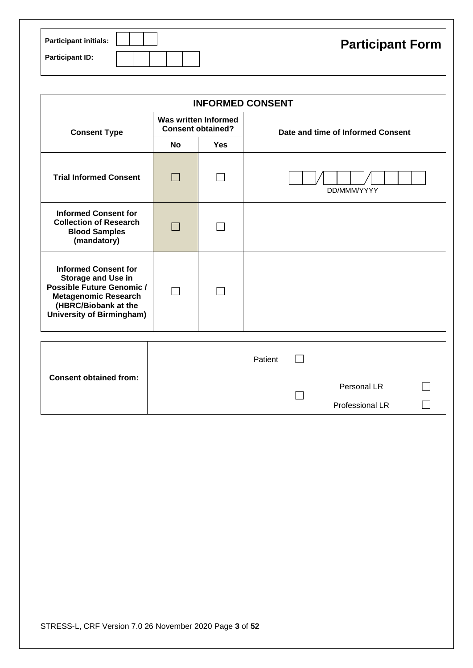| <b>Participant initials:</b> | <b>Participant Form</b> |
|------------------------------|-------------------------|
| <b>Participant ID:</b>       |                         |

|                                                                                                                                                                                  | <b>INFORMED CONSENT</b>  |                             |                                   |  |  |  |  |  |
|----------------------------------------------------------------------------------------------------------------------------------------------------------------------------------|--------------------------|-----------------------------|-----------------------------------|--|--|--|--|--|
| <b>Consent Type</b>                                                                                                                                                              | <b>Consent obtained?</b> | <b>Was written Informed</b> | Date and time of Informed Consent |  |  |  |  |  |
|                                                                                                                                                                                  | <b>No</b>                | <b>Yes</b>                  |                                   |  |  |  |  |  |
| <b>Trial Informed Consent</b>                                                                                                                                                    |                          |                             | DD/MMM/YYYY                       |  |  |  |  |  |
| <b>Informed Consent for</b><br><b>Collection of Research</b><br><b>Blood Samples</b><br>(mandatory)                                                                              |                          |                             |                                   |  |  |  |  |  |
| <b>Informed Consent for</b><br><b>Storage and Use in</b><br><b>Possible Future Genomic /</b><br><b>Metagenomic Research</b><br>(HBRC/Biobank at the<br>University of Birmingham) |                          |                             |                                   |  |  |  |  |  |
|                                                                                                                                                                                  |                          |                             |                                   |  |  |  |  |  |

|                               | Patient |                 |  |
|-------------------------------|---------|-----------------|--|
| <b>Consent obtained from:</b> |         | Personal LR     |  |
|                               |         | Professional LR |  |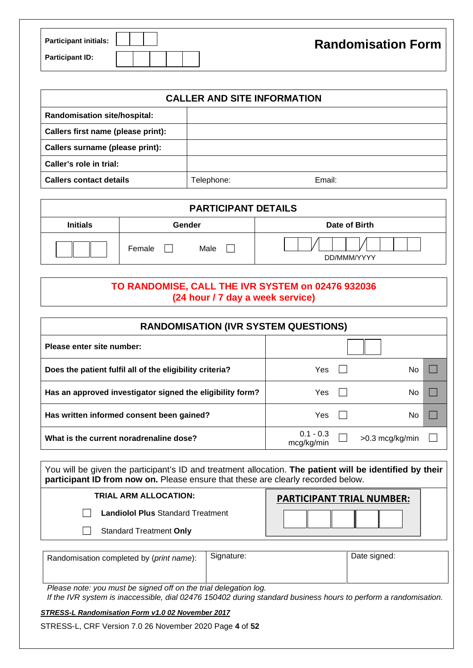| <b>Participant initials:</b> |  |  | <b>Randomisation Form</b> |
|------------------------------|--|--|---------------------------|
| <b>Participant ID:</b>       |  |  |                           |

| <b>CALLER AND SITE INFORMATION</b>  |            |        |  |  |  |  |
|-------------------------------------|------------|--------|--|--|--|--|
| <b>Randomisation site/hospital:</b> |            |        |  |  |  |  |
| Callers first name (please print):  |            |        |  |  |  |  |
| Callers surname (please print):     |            |        |  |  |  |  |
| Caller's role in trial:             |            |        |  |  |  |  |
| <b>Callers contact details</b>      | Telephone: | Email: |  |  |  |  |

| <b>PARTICIPANT DETAILS</b> |                |               |  |  |  |  |
|----------------------------|----------------|---------------|--|--|--|--|
| <b>Initials</b>            | Gender         | Date of Birth |  |  |  |  |
|                            | Male<br>Female | DD/MMM/YYYY   |  |  |  |  |

#### **TO RANDOMISE, CALL THE IVR SYSTEM on 02476 932036 (24 hour / 7 day a week service)**

| <b>RANDOMISATION (IVR SYSTEM QUESTIONS)</b>               |                           |                 |  |  |  |  |
|-----------------------------------------------------------|---------------------------|-----------------|--|--|--|--|
| Please enter site number:                                 |                           |                 |  |  |  |  |
| Does the patient fulfil all of the eligibility criteria?  | Yes                       | No              |  |  |  |  |
| Has an approved investigator signed the eligibility form? | Yes                       | No              |  |  |  |  |
| Has written informed consent been gained?                 | Yes                       | No.             |  |  |  |  |
| What is the current noradrenaline dose?                   | $0.1 - 0.3$<br>mcg/kg/min | >0.3 mcg/kg/min |  |  |  |  |

You will be given the participant's ID and treatment allocation. **The patient will be identified by their participant ID from now on.** Please ensure that these are clearly recorded below.

| TRIAL ARM ALLOCATION:                    | <b>PARTICIPANT TRIAL NUMBER:</b> |
|------------------------------------------|----------------------------------|
| <b>Landiolol Plus Standard Treatment</b> |                                  |
| <b>Standard Treatment Only</b>           |                                  |

| Randomisation completed by (print name): | Signature:                                                                                                      | Date signed: |
|------------------------------------------|-----------------------------------------------------------------------------------------------------------------|--------------|
|                                          |                                                                                                                 |              |
| .<br>$\sim$<br>.                         | the contract of the contract of the contract of the contract of the contract of the contract of the contract of |              |

*Please note: you must be signed off on the trial delegation log.* 

*If the IVR system is inaccessible, dial 02476 150402 during standard business hours to perform a randomisation.*

#### *STRESS-L Randomisation Form v1.0 02 November 2017*

STRESS-L, CRF Version 7.0 26 November 2020 Page **4** of **52**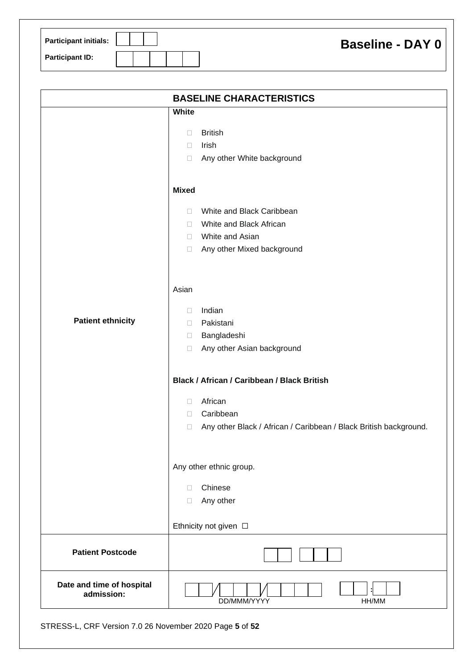| <b>Participant initials:</b> | <b>Baseline - DAY 0</b> |
|------------------------------|-------------------------|
| <b>Participant ID:</b>       |                         |

|                                         | <b>BASELINE CHARACTERISTICS</b>                                             |
|-----------------------------------------|-----------------------------------------------------------------------------|
|                                         | <b>White</b>                                                                |
|                                         | <b>British</b><br>$\Box$                                                    |
|                                         | Irish<br>П.                                                                 |
|                                         | Any other White background<br>$\Box$                                        |
|                                         | <b>Mixed</b>                                                                |
|                                         | White and Black Caribbean<br>П                                              |
|                                         | White and Black African<br>П.                                               |
|                                         | White and Asian<br>$\Box$                                                   |
|                                         | Any other Mixed background<br>$\Box$                                        |
|                                         | Asian                                                                       |
|                                         | Indian<br>$\Box$                                                            |
| <b>Patient ethnicity</b>                | Pakistani<br>П.                                                             |
|                                         | Bangladeshi<br>$\Box$                                                       |
|                                         | Any other Asian background<br>$\Box$                                        |
|                                         | Black / African / Caribbean / Black British                                 |
|                                         | African<br>$\Box$                                                           |
|                                         | Caribbean<br>$\Box$                                                         |
|                                         | Any other Black / African / Caribbean / Black British background.<br>$\Box$ |
|                                         | Any other ethnic group.                                                     |
|                                         | Chinese<br>П                                                                |
|                                         | Any other<br>$\Box$                                                         |
|                                         | Ethnicity not given $\Box$                                                  |
| <b>Patient Postcode</b>                 |                                                                             |
| Date and time of hospital<br>admission: | DD/MMM/YYYY<br>HH/MM                                                        |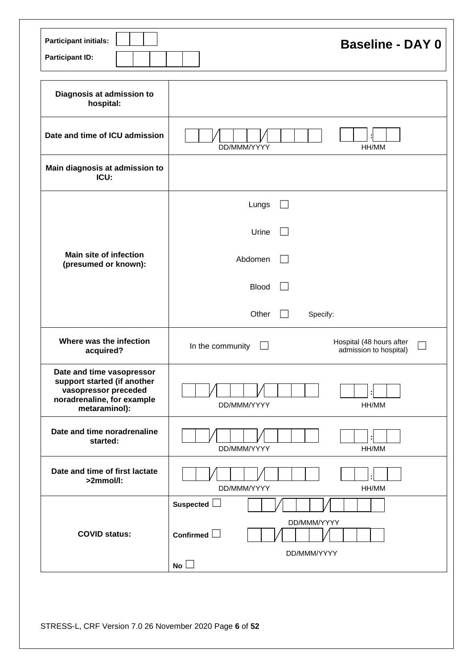| <b>Participant initials:</b><br><b>Participant ID:</b>                                                                          | <b>Baseline - DAY 0</b>                                                |
|---------------------------------------------------------------------------------------------------------------------------------|------------------------------------------------------------------------|
| Diagnosis at admission to<br>hospital:                                                                                          |                                                                        |
| Date and time of ICU admission                                                                                                  | DD/MMM/YYYY<br>HH/MM                                                   |
| Main diagnosis at admission to<br>ICU:                                                                                          |                                                                        |
|                                                                                                                                 | Lungs                                                                  |
|                                                                                                                                 | Urine                                                                  |
| <b>Main site of infection</b><br>(presumed or known):                                                                           | Abdomen                                                                |
|                                                                                                                                 | <b>Blood</b>                                                           |
|                                                                                                                                 | Other<br>Specify:                                                      |
| Where was the infection<br>acquired?                                                                                            | Hospital (48 hours after<br>In the community<br>admission to hospital) |
| Date and time vasopressor<br>support started (if another<br>vasopressor preceded<br>noradrenaline, for example<br>metaraminol): | DD/MMM/YYYY<br>HH/MM                                                   |
| Date and time noradrenaline<br>started:                                                                                         | DD/MMM/YYYY<br>HH/MM                                                   |
| Date and time of first lactate<br>>2mmol/l:                                                                                     | DD/MMM/YYYY<br>HH/MM                                                   |
|                                                                                                                                 | Suspected $\Box$                                                       |
| <b>COVID status:</b>                                                                                                            | DD/MMM/YYYY<br>Confirmed $\Box$                                        |
|                                                                                                                                 | DD/MMM/YYYY<br>$No$ $\Box$                                             |

STRESS-L, CRF Version 7.0 26 November 2020 Page **6** of **52**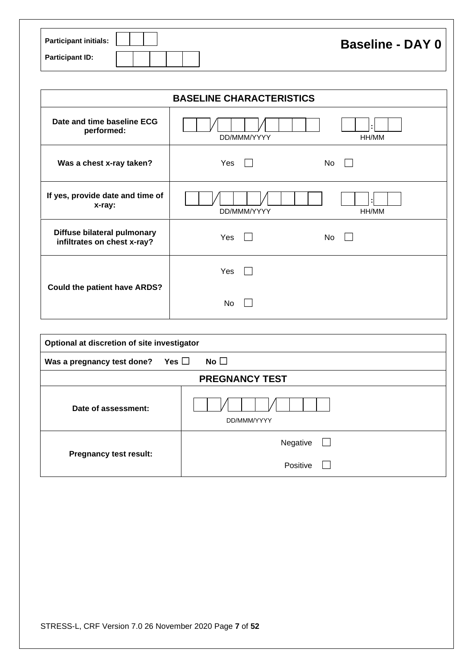| <b>Participant initials:</b> |  |  | <b>Baseline - DAY 0</b> |
|------------------------------|--|--|-------------------------|
| <b>Participant ID:</b>       |  |  |                         |

| <b>BASELINE CHARACTERISTICS</b>                            |                      |  |  |  |
|------------------------------------------------------------|----------------------|--|--|--|
| Date and time baseline ECG<br>performed:                   | DD/MMM/YYYY<br>HH/MM |  |  |  |
| Was a chest x-ray taken?                                   | Yes<br>No            |  |  |  |
| If yes, provide date and time of<br>x-ray:                 | DD/MMM/YYYY<br>HH/MM |  |  |  |
| Diffuse bilateral pulmonary<br>infiltrates on chest x-ray? | Yes<br>No            |  |  |  |
| Could the patient have ARDS?                               | Yes                  |  |  |  |
|                                                            | No                   |  |  |  |

| Optional at discretion of site investigator |                       |  |  |  |  |
|---------------------------------------------|-----------------------|--|--|--|--|
| Yes $\square$<br>Was a pregnancy test done? | No $\square$          |  |  |  |  |
|                                             | <b>PREGNANCY TEST</b> |  |  |  |  |
| Date of assessment:                         | DD/MMM/YYYY           |  |  |  |  |
|                                             | Negative<br>$\Box$    |  |  |  |  |
| <b>Pregnancy test result:</b>               | Positive              |  |  |  |  |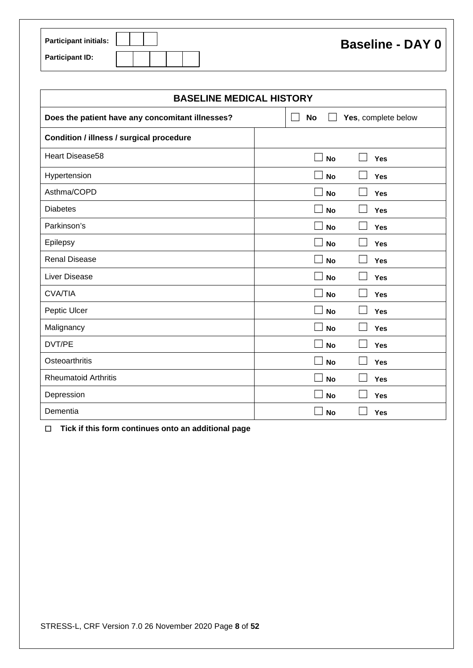| <b>Participant initials:</b> |  |  |  |
|------------------------------|--|--|--|
| <b>Participant ID:</b>       |  |  |  |

| <b>BASELINE MEDICAL HISTORY</b>                  |                            |  |  |  |  |
|--------------------------------------------------|----------------------------|--|--|--|--|
| Does the patient have any concomitant illnesses? | No<br>Yes, complete below  |  |  |  |  |
| Condition / illness / surgical procedure         |                            |  |  |  |  |
| <b>Heart Disease58</b>                           | $\Box$<br><b>No</b><br>Yes |  |  |  |  |
| Hypertension                                     | <b>No</b><br><b>Yes</b>    |  |  |  |  |
| Asthma/COPD                                      | <b>No</b><br><b>Yes</b>    |  |  |  |  |
| <b>Diabetes</b>                                  | <b>No</b><br><b>Yes</b>    |  |  |  |  |
| Parkinson's                                      | <b>No</b><br><b>Yes</b>    |  |  |  |  |
| Epilepsy                                         | <b>No</b><br><b>Yes</b>    |  |  |  |  |
| <b>Renal Disease</b>                             | <b>No</b><br>Yes           |  |  |  |  |
| <b>Liver Disease</b>                             | <b>No</b><br>Yes           |  |  |  |  |
| <b>CVA/TIA</b>                                   | <b>No</b><br>Yes           |  |  |  |  |
| Peptic Ulcer                                     | <b>No</b><br>Yes<br>×      |  |  |  |  |
| Malignancy                                       | <b>No</b><br>Yes           |  |  |  |  |
| DVT/PE                                           | <b>No</b><br><b>Yes</b>    |  |  |  |  |
| Osteoarthritis                                   | <b>No</b><br>Yes           |  |  |  |  |
| <b>Rheumatoid Arthritis</b>                      | <b>No</b><br>Yes           |  |  |  |  |
| Depression                                       | <b>No</b><br><b>Yes</b>    |  |  |  |  |
| Dementia                                         | <b>No</b><br>Yes           |  |  |  |  |

☐ **Tick if this form continues onto an additional page**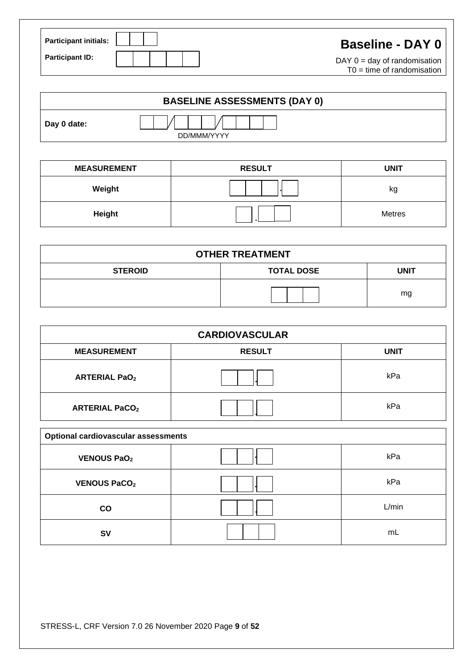| <b>Participant initials:</b> | <b>Baseline - DAY 0</b>                                        |
|------------------------------|----------------------------------------------------------------|
| <b>Participant ID:</b>       | DAY $0 = day$ of randomisation<br>$TO = time of randomisation$ |

| <b>BASELINE ASSESSMENTS (DAY 0)</b> |             |  |  |  |
|-------------------------------------|-------------|--|--|--|
| Day 0 date:                         | DD/MMM/YYYY |  |  |  |

| <b>MEASUREMENT</b> | <b>RESULT</b> | <b>UNIT</b>   |
|--------------------|---------------|---------------|
| Weight             |               | κg            |
| Height             |               | <b>Metres</b> |

| <b>OTHER TREATMENT</b>                             |  |    |  |  |  |  |  |  |  |
|----------------------------------------------------|--|----|--|--|--|--|--|--|--|
| <b>TOTAL DOSE</b><br><b>STEROID</b><br><b>UNIT</b> |  |    |  |  |  |  |  |  |  |
|                                                    |  | mg |  |  |  |  |  |  |  |

| <b>CARDIOVASCULAR</b>                      |               |             |  |  |  |  |  |
|--------------------------------------------|---------------|-------------|--|--|--|--|--|
| <b>MEASUREMENT</b>                         | <b>RESULT</b> | <b>UNIT</b> |  |  |  |  |  |
| <b>ARTERIAL PaO2</b>                       |               | kPa         |  |  |  |  |  |
| <b>ARTERIAL PaCO2</b>                      |               | kPa         |  |  |  |  |  |
| <b>Optional cardiovascular assessments</b> |               |             |  |  |  |  |  |

| <b>Optional Cardiovascular assessments</b> |  |       |  |  |  |  |  |  |
|--------------------------------------------|--|-------|--|--|--|--|--|--|
| <b>VENOUS PaO2</b>                         |  | kPa   |  |  |  |  |  |  |
| <b>VENOUS PaCO2</b>                        |  | kPa   |  |  |  |  |  |  |
| co                                         |  | L/min |  |  |  |  |  |  |
| <b>SV</b>                                  |  | mL    |  |  |  |  |  |  |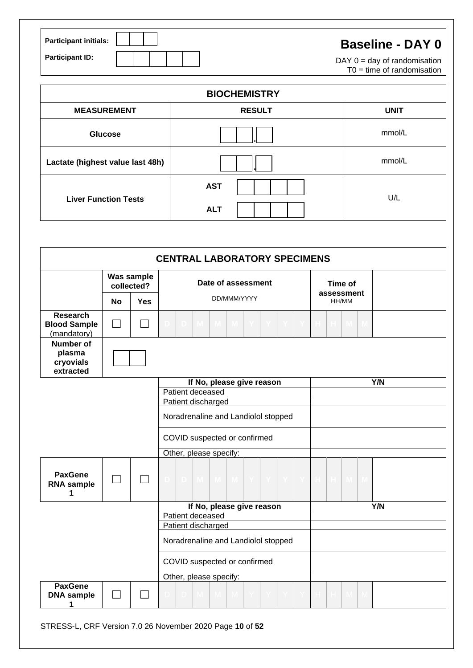| <b>Participant initials:</b> |  |  | <b>Baseline - DAY 0</b>                                        |
|------------------------------|--|--|----------------------------------------------------------------|
| <b>Participant ID:</b>       |  |  | DAY $0 = day$ of randomisation<br>$TO = time of randomisation$ |

| <b>BIOCHEMISTRY</b>              |                          |             |  |  |  |  |  |  |
|----------------------------------|--------------------------|-------------|--|--|--|--|--|--|
| <b>MEASUREMENT</b>               | <b>RESULT</b>            | <b>UNIT</b> |  |  |  |  |  |  |
| <b>Glucose</b>                   |                          | mmol/L      |  |  |  |  |  |  |
| Lactate (highest value last 48h) |                          | mmol/L      |  |  |  |  |  |  |
| <b>Liver Function Tests</b>      | <b>AST</b><br><b>ALT</b> | U/L         |  |  |  |  |  |  |

|                                                       | <b>CENTRAL LABORATORY SPECIMENS</b> |                          |                                               |                     |  |  |  |  |  |  |
|-------------------------------------------------------|-------------------------------------|--------------------------|-----------------------------------------------|---------------------|--|--|--|--|--|--|
|                                                       |                                     | Was sample<br>collected? | Date of assessment                            | Time of             |  |  |  |  |  |  |
|                                                       | <b>No</b>                           | <b>Yes</b>               | DD/MMM/YYYY                                   | assessment<br>HH/MM |  |  |  |  |  |  |
| <b>Research</b><br><b>Blood Sample</b><br>(mandatory) |                                     |                          |                                               |                     |  |  |  |  |  |  |
| <b>Number of</b><br>plasma<br>cryovials<br>extracted  |                                     |                          |                                               |                     |  |  |  |  |  |  |
|                                                       |                                     |                          | If No, please give reason                     | Y/N                 |  |  |  |  |  |  |
|                                                       |                                     |                          | Patient deceased                              |                     |  |  |  |  |  |  |
|                                                       |                                     |                          | Patient discharged                            |                     |  |  |  |  |  |  |
|                                                       |                                     |                          | Noradrenaline and Landiolol stopped           |                     |  |  |  |  |  |  |
|                                                       |                                     |                          | COVID suspected or confirmed                  |                     |  |  |  |  |  |  |
|                                                       |                                     |                          | Other, please specify:                        |                     |  |  |  |  |  |  |
| <b>PaxGene</b><br><b>RNA</b> sample<br>1              |                                     |                          | M<br>D.<br>$\mathbf{M}$<br>$\mathbf{M}$<br>Y. |                     |  |  |  |  |  |  |
|                                                       |                                     |                          | If No, please give reason                     | Y/N                 |  |  |  |  |  |  |
|                                                       |                                     |                          | Patient deceased                              |                     |  |  |  |  |  |  |
|                                                       |                                     |                          | Patient discharged                            |                     |  |  |  |  |  |  |
|                                                       |                                     |                          | Noradrenaline and Landiolol stopped           |                     |  |  |  |  |  |  |
|                                                       |                                     |                          | COVID suspected or confirmed                  |                     |  |  |  |  |  |  |
|                                                       |                                     |                          | Other, please specify:                        |                     |  |  |  |  |  |  |
| <b>PaxGene</b><br><b>DNA</b> sample<br>1              |                                     |                          | M.                                            |                     |  |  |  |  |  |  |

STRESS-L, CRF Version 7.0 26 November 2020 Page **10** of **52**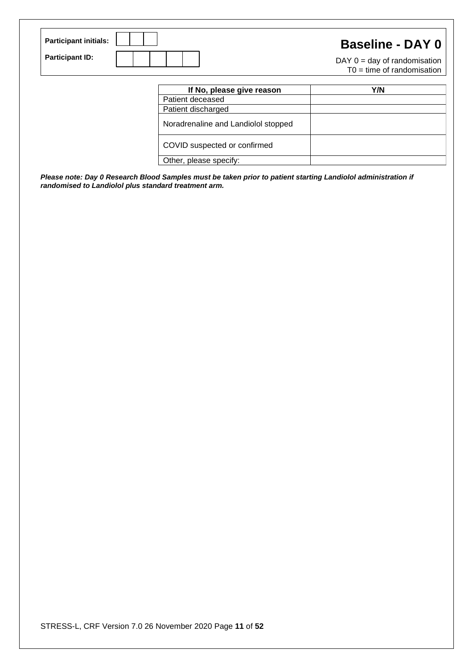| <b>Participant initials:</b> | <b>Baseline - DAY 0</b>                                        |
|------------------------------|----------------------------------------------------------------|
| <b>Participant ID:</b>       | $DAY$ 0 = day of randomisation<br>$TO = time of randomisation$ |

| If No, please give reason           | Y/N |
|-------------------------------------|-----|
| Patient deceased                    |     |
| Patient discharged                  |     |
| Noradrenaline and Landiolol stopped |     |
| COVID suspected or confirmed        |     |
| Other, please specify:              |     |

*Please note: Day 0 Research Blood Samples must be taken prior to patient starting Landiolol administration if randomised to Landiolol plus standard treatment arm.*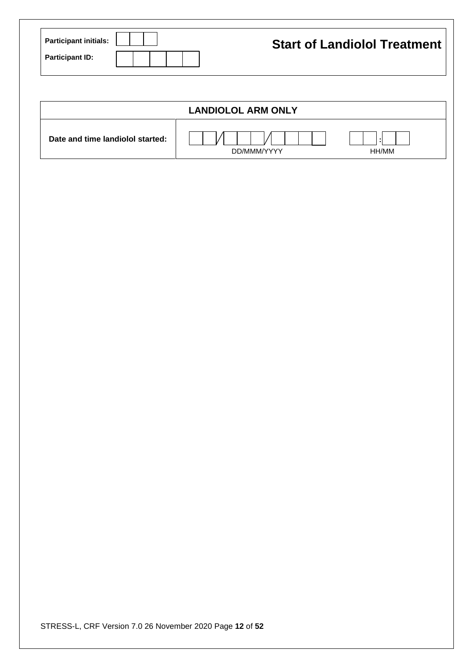| <b>Participant initials:</b> |  |  | <b>Start of Landiolol Treatment</b> |
|------------------------------|--|--|-------------------------------------|
| <b>Participant ID:</b>       |  |  |                                     |

|                                  | <b>LANDIOLOL ARM ONLY</b> |       |
|----------------------------------|---------------------------|-------|
| Date and time landiolol started: | DD/MMM/YYYY               | HH/MM |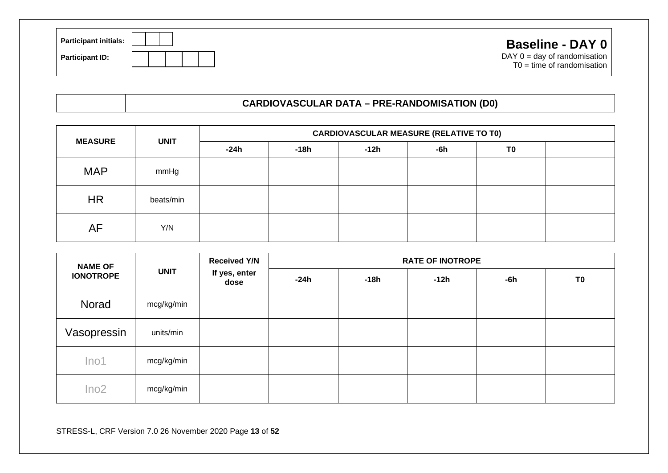| <b>Participant initials:</b> |  |  | <b>Baseline - DAY 0</b>                                        |
|------------------------------|--|--|----------------------------------------------------------------|
| <b>Participant ID:</b>       |  |  | DAY $0 = day$ of randomisation<br>$TO = time of randomisation$ |

### **CARDIOVASCULAR DATA – PRE-RANDOMISATION (D0)**

| <b>MEASURE</b> | <b>UNIT</b> | <b>CARDIOVASCULAR MEASURE (RELATIVE TO T0)</b> |        |      |       |                |  |  |  |
|----------------|-------------|------------------------------------------------|--------|------|-------|----------------|--|--|--|
|                |             | -24h                                           | $-18h$ | -12h | $-6h$ | T <sub>0</sub> |  |  |  |
| <b>MAP</b>     | mmHg        |                                                |        |      |       |                |  |  |  |
| <b>HR</b>      | beats/min   |                                                |        |      |       |                |  |  |  |
| AF             | Y/N         |                                                |        |      |       |                |  |  |  |

| <b>NAME OF</b>   | <b>UNIT</b> | <b>Received Y/N</b>   | <b>RATE OF INOTROPE</b> |        |        |     |                |  |  |  |
|------------------|-------------|-----------------------|-------------------------|--------|--------|-----|----------------|--|--|--|
| <b>IONOTROPE</b> |             | If yes, enter<br>dose | $-24h$                  | $-18h$ | $-12h$ | -6h | T <sub>0</sub> |  |  |  |
| Norad            | mcg/kg/min  |                       |                         |        |        |     |                |  |  |  |
| Vasopressin      | units/min   |                       |                         |        |        |     |                |  |  |  |
| Ino <sub>1</sub> | mcg/kg/min  |                       |                         |        |        |     |                |  |  |  |
| Ino2             | mcg/kg/min  |                       |                         |        |        |     |                |  |  |  |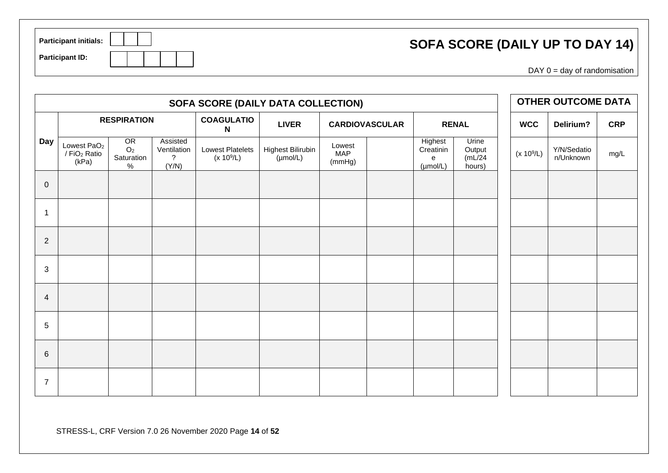| SOFA SCORE (DAILY UP TO DAY 14) |  |
|---------------------------------|--|
|---------------------------------|--|

| <b>Participant initials:</b> |  |  |  |
|------------------------------|--|--|--|
| <b>Participant ID:</b>       |  |  |  |

 $DAY 0 = day of randomisation$ 

|                 | SOFA SCORE (DAILY DATA COLLECTION)                           |                                            |                                                 |                                         |                                                  |                                |                       |                                                   |                                      |              | <b>OTHER OUTCOME DATA</b> |            |
|-----------------|--------------------------------------------------------------|--------------------------------------------|-------------------------------------------------|-----------------------------------------|--------------------------------------------------|--------------------------------|-----------------------|---------------------------------------------------|--------------------------------------|--------------|---------------------------|------------|
|                 |                                                              | <b>RESPIRATION</b>                         |                                                 | <b>COAGULATIO</b><br>N                  | <b>LIVER</b>                                     |                                | <b>CARDIOVASCULAR</b> |                                                   | <b>RENAL</b>                         | <b>WCC</b>   | Delirium?                 | <b>CRP</b> |
| <b>Day</b>      | Lowest PaO <sub>2</sub><br>/ FiO <sub>2</sub> Ratio<br>(kPa) | OR<br>O <sub>2</sub><br>Saturation<br>$\%$ | Assisted<br>Ventilation<br>$\tilde{?}$<br>(Y/N) | <b>Lowest Platelets</b><br>$(x 10^9/L)$ | <b>Highest Bilirubin</b><br>$(\mu \text{mol/L})$ | Lowest<br><b>MAP</b><br>(mmHg) |                       | Highest<br>Creatinin<br>e<br>$(\mu \text{mol/L})$ | Urine<br>Output<br>(mL/24)<br>hours) | $(x 10^9/L)$ | Y/N/Sedatio<br>n/Unknown  | mg/L       |
| $\mathbf 0$     |                                                              |                                            |                                                 |                                         |                                                  |                                |                       |                                                   |                                      |              |                           |            |
| -1              |                                                              |                                            |                                                 |                                         |                                                  |                                |                       |                                                   |                                      |              |                           |            |
| $\mathbf{2}$    |                                                              |                                            |                                                 |                                         |                                                  |                                |                       |                                                   |                                      |              |                           |            |
| 3               |                                                              |                                            |                                                 |                                         |                                                  |                                |                       |                                                   |                                      |              |                           |            |
| 4               |                                                              |                                            |                                                 |                                         |                                                  |                                |                       |                                                   |                                      |              |                           |            |
| $\overline{5}$  |                                                              |                                            |                                                 |                                         |                                                  |                                |                       |                                                   |                                      |              |                           |            |
| $6\phantom{1}6$ |                                                              |                                            |                                                 |                                         |                                                  |                                |                       |                                                   |                                      |              |                           |            |
| $\overline{7}$  |                                                              |                                            |                                                 |                                         |                                                  |                                |                       |                                                   |                                      |              |                           |            |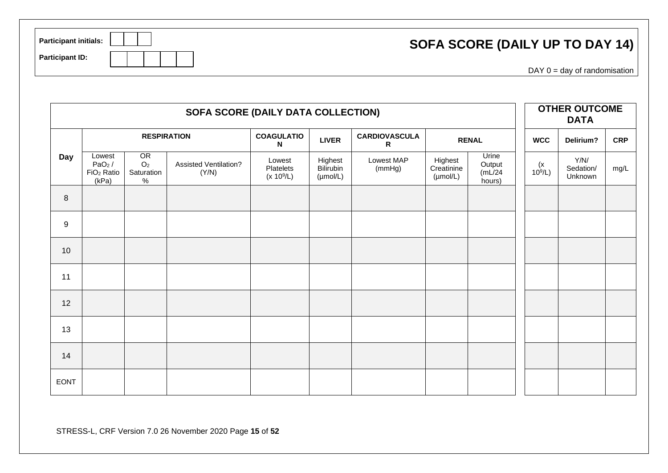| <b>Participant initials:</b> | SOFA SCORE (DAILY UP TO DAY 14) |
|------------------------------|---------------------------------|
| <b>Participant ID:</b>       | $DAY$ 0 = day of randomisation  |

|             | SOFA SCORE (DAILY DATA COLLECTION)                    |                                            |                                       |                                     |                                              |                           |                                               |                                      | <b>OTHER OUTCOME</b><br><b>DATA</b> |                              |            |
|-------------|-------------------------------------------------------|--------------------------------------------|---------------------------------------|-------------------------------------|----------------------------------------------|---------------------------|-----------------------------------------------|--------------------------------------|-------------------------------------|------------------------------|------------|
|             |                                                       | <b>RESPIRATION</b>                         |                                       | <b>COAGULATIO</b><br>N              | <b>LIVER</b>                                 | <b>CARDIOVASCULA</b><br>R |                                               | <b>RENAL</b>                         | <b>WCC</b>                          | Delirium?                    | <b>CRP</b> |
| Day         | Lowest<br>$PaO2$ /<br>FiO <sub>2</sub> Ratio<br>(kPa) | OR<br>O <sub>2</sub><br>Saturation<br>$\%$ | <b>Assisted Ventilation?</b><br>(Y/N) | Lowest<br>Platelets<br>$(x 10^9/L)$ | Highest<br>Bilirubin<br>$(\mu \text{mol/L})$ | Lowest MAP<br>(mmHg)      | Highest<br>Creatinine<br>$(\mu \text{mol/L})$ | Urine<br>Output<br>(mL/24)<br>hours) | $(x$<br>10 <sup>9</sup> /L)         | Y/N/<br>Sedation/<br>Unknown | mg/L       |
| 8           |                                                       |                                            |                                       |                                     |                                              |                           |                                               |                                      |                                     |                              |            |
| 9           |                                                       |                                            |                                       |                                     |                                              |                           |                                               |                                      |                                     |                              |            |
| 10          |                                                       |                                            |                                       |                                     |                                              |                           |                                               |                                      |                                     |                              |            |
| 11          |                                                       |                                            |                                       |                                     |                                              |                           |                                               |                                      |                                     |                              |            |
| 12          |                                                       |                                            |                                       |                                     |                                              |                           |                                               |                                      |                                     |                              |            |
| 13          |                                                       |                                            |                                       |                                     |                                              |                           |                                               |                                      |                                     |                              |            |
| 14          |                                                       |                                            |                                       |                                     |                                              |                           |                                               |                                      |                                     |                              |            |
| <b>EONT</b> |                                                       |                                            |                                       |                                     |                                              |                           |                                               |                                      |                                     |                              |            |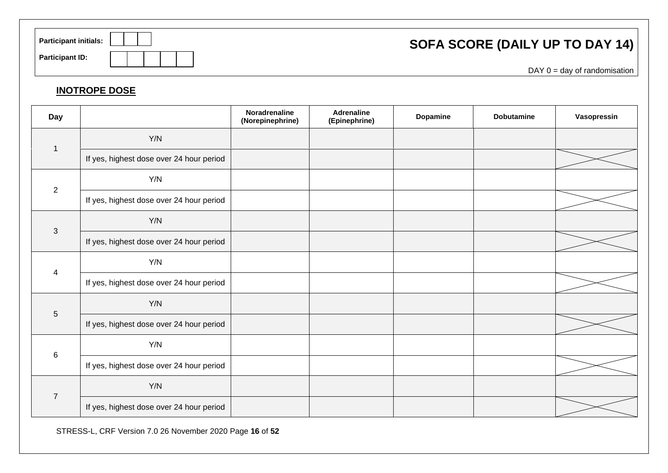| <b>Participant initials:</b> | SOFA SCORE (DAILY UP TO DAY 14) |
|------------------------------|---------------------------------|
| <b>Participant ID:</b>       | $DAY$ 0 = day of randomisation  |

### **INOTROPE DOSE**

| Day                     |                                          | Noradrenaline<br>(Norepinephrine) | <b>Adrenaline</b><br>(Epinephrine) | Dopamine | <b>Dobutamine</b> | Vasopressin |
|-------------------------|------------------------------------------|-----------------------------------|------------------------------------|----------|-------------------|-------------|
|                         | Y/N                                      |                                   |                                    |          |                   |             |
|                         | If yes, highest dose over 24 hour period |                                   |                                    |          |                   |             |
| $\overline{2}$          | Y/N                                      |                                   |                                    |          |                   |             |
|                         | If yes, highest dose over 24 hour period |                                   |                                    |          |                   |             |
|                         | Y/N                                      |                                   |                                    |          |                   |             |
| $\mathfrak{Z}$          | If yes, highest dose over 24 hour period |                                   |                                    |          |                   |             |
|                         | Y/N                                      |                                   |                                    |          |                   |             |
| $\overline{\mathbf{4}}$ | If yes, highest dose over 24 hour period |                                   |                                    |          |                   |             |
| $\sqrt{5}$              | Y/N                                      |                                   |                                    |          |                   |             |
|                         | If yes, highest dose over 24 hour period |                                   |                                    |          |                   |             |
| $\,6\,$                 | Y/N                                      |                                   |                                    |          |                   |             |
|                         | If yes, highest dose over 24 hour period |                                   |                                    |          |                   |             |
| $\overline{7}$          | Y/N                                      |                                   |                                    |          |                   |             |
|                         | If yes, highest dose over 24 hour period |                                   |                                    |          |                   |             |

STRESS-L, CRF Version 7.0 26 November 2020 Page **16** of **52**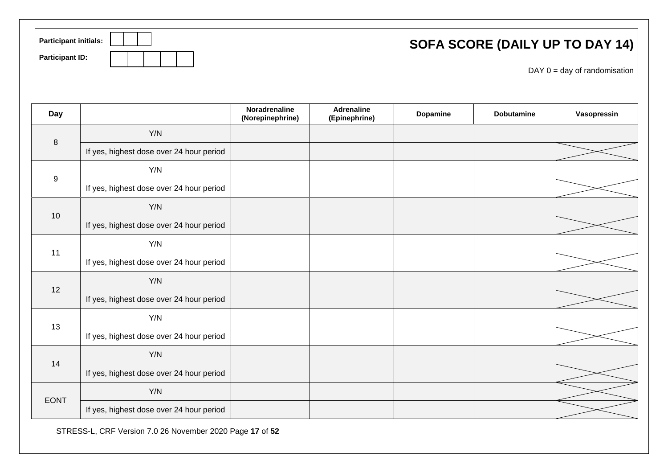| <b>Participant initials:</b> | SOFA SCORE (DAILY UP TO DAY 14) |
|------------------------------|---------------------------------|
| <b>Participant ID:</b>       | $DAY$ 0 = day of randomisation  |

| <b>Day</b>       |                                          | Noradrenaline<br>(Norepinephrine) | <b>Adrenaline</b><br>(Epinephrine) | Dopamine | <b>Dobutamine</b> | Vasopressin |
|------------------|------------------------------------------|-----------------------------------|------------------------------------|----------|-------------------|-------------|
|                  | Y/N                                      |                                   |                                    |          |                   |             |
| $\,8\,$          | If yes, highest dose over 24 hour period |                                   |                                    |          |                   |             |
|                  | Y/N                                      |                                   |                                    |          |                   |             |
| $\boldsymbol{9}$ | If yes, highest dose over 24 hour period |                                   |                                    |          |                   |             |
| 10               | Y/N                                      |                                   |                                    |          |                   |             |
|                  | If yes, highest dose over 24 hour period |                                   |                                    |          |                   |             |
| 11               | Y/N                                      |                                   |                                    |          |                   |             |
|                  | If yes, highest dose over 24 hour period |                                   |                                    |          |                   |             |
| 12               | Y/N                                      |                                   |                                    |          |                   |             |
|                  | If yes, highest dose over 24 hour period |                                   |                                    |          |                   |             |
| 13               | Y/N                                      |                                   |                                    |          |                   |             |
|                  | If yes, highest dose over 24 hour period |                                   |                                    |          |                   |             |
|                  | Y/N                                      |                                   |                                    |          |                   |             |
| 14               | If yes, highest dose over 24 hour period |                                   |                                    |          |                   |             |
|                  | Y/N                                      |                                   |                                    |          |                   |             |
| <b>EONT</b>      | If yes, highest dose over 24 hour period |                                   |                                    |          |                   |             |

STRESS-L, CRF Version 7.0 26 November 2020 Page **17** of **52**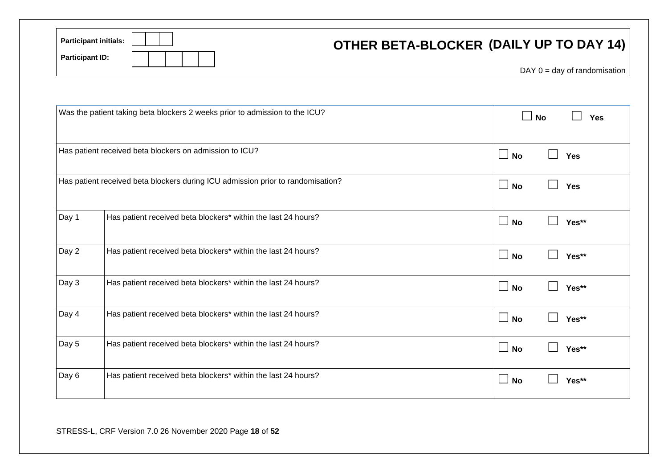| <b>Participant initials:</b><br><b>Participant ID:</b> |                                                                                 | OTHER BETA-BLOCKER (DAILY UP TO DAY 14) |
|--------------------------------------------------------|---------------------------------------------------------------------------------|-----------------------------------------|
|                                                        |                                                                                 | $DAY$ 0 = day of randomisation          |
|                                                        |                                                                                 |                                         |
|                                                        | Was the patient taking beta blockers 2 weeks prior to admission to the ICU?     | $\Box$ No<br>Yes                        |
|                                                        | Has patient received beta blockers on admission to ICU?                         | $\Box$ No<br>$\Box$<br>Yes              |
|                                                        | Has patient received beta blockers during ICU admission prior to randomisation? | $\Box$ No<br>$\Box$<br>Yes              |
| Day 1                                                  | Has patient received beta blockers* within the last 24 hours?                   | $\Box$ No<br>$\Box$<br>Yes**            |
| Day 2                                                  | Has patient received beta blockers* within the last 24 hours?                   | $\Box$ No<br>Yes**                      |
| Day 3                                                  | Has patient received beta blockers* within the last 24 hours?                   | $\Box$ No<br>Yes**                      |
| Day 4                                                  | Has patient received beta blockers* within the last 24 hours?                   | $\Box$ No<br>Yes**                      |
| Day 5                                                  | Has patient received beta blockers* within the last 24 hours?                   | $\Box$ No<br>Yes**                      |
| Day 6                                                  | Has patient received beta blockers* within the last 24 hours?                   | $\Box$ No<br>Yes**                      |
|                                                        |                                                                                 |                                         |

STRESS-L, CRF Version 7.0 26 November 2020 Page **18** of **52**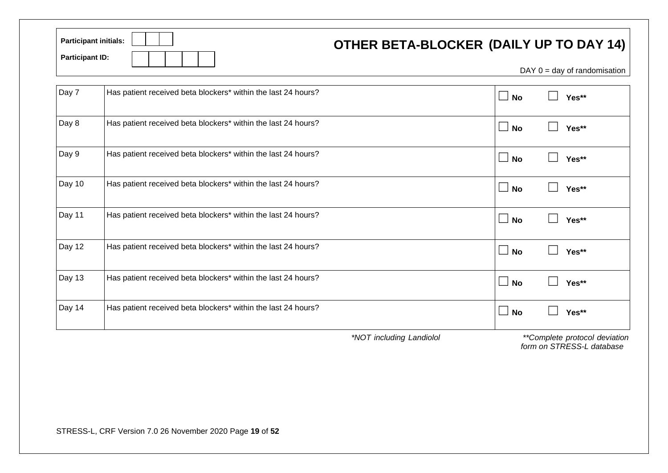| <b>Participant initials:</b> | <b>OTHER BETA-BLOCKER (DAILY UP TO DAY 14)</b>                                                                                                            |
|------------------------------|-----------------------------------------------------------------------------------------------------------------------------------------------------------|
| <b>Participant ID:</b>       | $\mathbf{D}$ $\mathbf{A}$ $\mathbf{V}$ $\mathbf{A}$ and $\mathbf{A}$ and $\mathbf{A}$ and $\mathbf{A}$ and $\mathbf{A}$ and $\mathbf{A}$ and $\mathbf{A}$ |

| DAY $0 = day$ of randomisation |  |  |
|--------------------------------|--|--|
|--------------------------------|--|--|

| Day 7  | Has patient received beta blockers* within the last 24 hours? | $\Box$ No                      | Yes** |
|--------|---------------------------------------------------------------|--------------------------------|-------|
| Day 8  | Has patient received beta blockers* within the last 24 hours? | $\Box$<br><b>No</b>            | Yes** |
| Day 9  | Has patient received beta blockers* within the last 24 hours? | $\Box$ No                      | Yes** |
| Day 10 | Has patient received beta blockers* within the last 24 hours? | $\perp$<br><b>No</b>           | Yes** |
| Day 11 | Has patient received beta blockers* within the last 24 hours? | $\perp$<br><b>No</b>           | Yes** |
| Day 12 | Has patient received beta blockers* within the last 24 hours? | $\vert \ \ \vert$<br><b>No</b> | Yes** |
| Day 13 | Has patient received beta blockers* within the last 24 hours? | $\perp$<br><b>No</b>           | Yes** |
| Day 14 | Has patient received beta blockers* within the last 24 hours? | $\perp$<br><b>No</b>           | Yes** |

*\*NOT including Landiolol \*\*Complete protocol deviation form on STRESS-L database*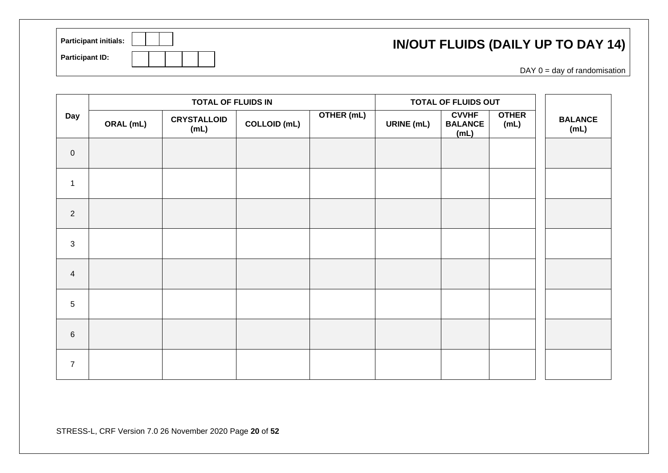### **IN/OUT FLUIDS (DAILY UP TO DAY 14)**

| <b>Participant initials:</b> |  |  |
|------------------------------|--|--|
| <b>Participant ID:</b>       |  |  |

 $DAY$  0 = day of randomisation

|                  |           | <b>TOTAL OF FLUIDS IN</b>  |                     |            |                   | TOTAL OF FLUIDS OUT                    |                      |                        |
|------------------|-----------|----------------------------|---------------------|------------|-------------------|----------------------------------------|----------------------|------------------------|
| Day              | ORAL (mL) | <b>CRYSTALLOID</b><br>(mL) | <b>COLLOID (mL)</b> | OTHER (mL) | <b>URINE</b> (mL) | <b>CVVHF</b><br><b>BALANCE</b><br>(mL) | <b>OTHER</b><br>(mL) | <b>BALANCE</b><br>(mL) |
| $\boldsymbol{0}$ |           |                            |                     |            |                   |                                        |                      |                        |
| $\mathbf{1}$     |           |                            |                     |            |                   |                                        |                      |                        |
| $\overline{2}$   |           |                            |                     |            |                   |                                        |                      |                        |
| 3                |           |                            |                     |            |                   |                                        |                      |                        |
| $\overline{4}$   |           |                            |                     |            |                   |                                        |                      |                        |
| $5\phantom{.0}$  |           |                            |                     |            |                   |                                        |                      |                        |
| $\,$ 6 $\,$      |           |                            |                     |            |                   |                                        |                      |                        |
| $\overline{7}$   |           |                            |                     |            |                   |                                        |                      |                        |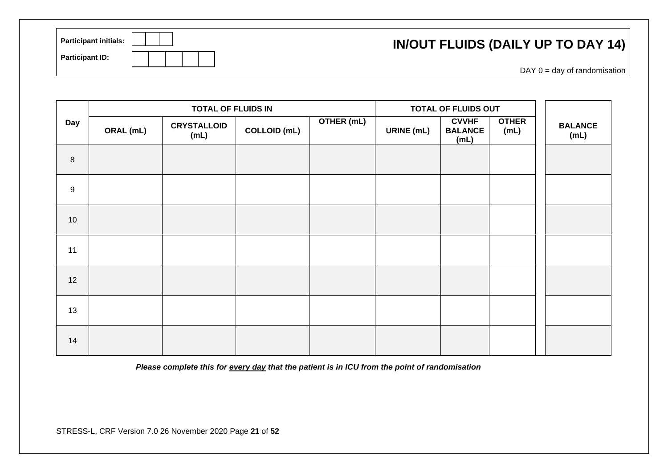| <b>Participant initials:</b> | <b>IN/OUT FLUIDS (DAILY UP TO DAY 14)</b> |
|------------------------------|-------------------------------------------|
| <b>Participant ID:</b>       | $DAY$ 0 = day of randomisation            |

|      |           | <b>TOTAL OF FLUIDS IN</b>  |                     |            | TOTAL OF FLUIDS OUT |                                        |                      |  |                        |  |  |  |  |
|------|-----------|----------------------------|---------------------|------------|---------------------|----------------------------------------|----------------------|--|------------------------|--|--|--|--|
| Day  | ORAL (mL) | <b>CRYSTALLOID</b><br>(mL) | <b>COLLOID (mL)</b> | OTHER (mL) | <b>URINE</b> (mL)   | <b>CVVHF</b><br><b>BALANCE</b><br>(mL) | <b>OTHER</b><br>(mL) |  | <b>BALANCE</b><br>(mL) |  |  |  |  |
| 8    |           |                            |                     |            |                     |                                        |                      |  |                        |  |  |  |  |
| 9    |           |                            |                     |            |                     |                                        |                      |  |                        |  |  |  |  |
| $10$ |           |                            |                     |            |                     |                                        |                      |  |                        |  |  |  |  |
| 11   |           |                            |                     |            |                     |                                        |                      |  |                        |  |  |  |  |
| 12   |           |                            |                     |            |                     |                                        |                      |  |                        |  |  |  |  |
| 13   |           |                            |                     |            |                     |                                        |                      |  |                        |  |  |  |  |
| 14   |           |                            |                     |            |                     |                                        |                      |  |                        |  |  |  |  |

*Please complete this for every day that the patient is in ICU from the point of randomisation*

STRESS-L, CRF Version 7.0 26 November 2020 Page **21** of **52**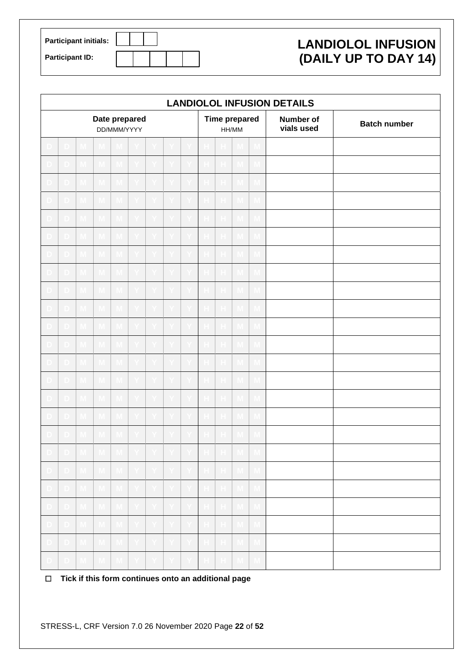| <b>Participant initials:</b> |  |
|------------------------------|--|
| <b>Participant ID:</b>       |  |

### **LANDIOLOL INFUSION (DAILY UP TO DAY 14)**

|              |    |                |                         |                         |                            |                              |    |     |             |                      |              |     | <b>LANDIOLOL INFUSION DETAILS</b> |                     |
|--------------|----|----------------|-------------------------|-------------------------|----------------------------|------------------------------|----|-----|-------------|----------------------|--------------|-----|-----------------------------------|---------------------|
|              |    |                | Date prepared           | DD/MMM/YYYY             |                            |                              |    |     |             | <b>Time prepared</b> | HH/MM        |     | Number of<br>vials used           | <b>Batch number</b> |
|              |    |                |                         |                         |                            |                              |    |     |             |                      |              |     |                                   |                     |
|              |    |                |                         |                         |                            |                              |    |     |             |                      |              |     |                                   |                     |
|              |    |                |                         |                         |                            |                              |    |     |             |                      |              |     |                                   |                     |
|              |    |                |                         |                         |                            |                              |    |     |             |                      |              |     |                                   |                     |
|              |    |                |                         |                         |                            |                              |    |     |             |                      |              |     |                                   |                     |
|              |    |                |                         |                         |                            |                              |    |     |             |                      |              |     |                                   |                     |
|              |    |                |                         |                         |                            |                              |    |     |             |                      |              |     |                                   |                     |
|              |    |                |                         |                         |                            |                              |    |     |             |                      |              |     |                                   |                     |
|              |    |                |                         |                         |                            |                              |    |     |             |                      |              |     |                                   |                     |
|              |    |                |                         |                         |                            |                              |    |     |             |                      |              |     |                                   |                     |
|              |    |                |                         |                         |                            |                              |    |     |             |                      |              |     |                                   |                     |
|              |    |                |                         |                         |                            |                              |    |     |             |                      |              |     |                                   |                     |
|              |    |                |                         |                         |                            |                              |    |     |             |                      |              |     |                                   |                     |
|              |    |                |                         |                         |                            |                              |    |     |             |                      |              |     |                                   |                     |
|              |    |                |                         |                         |                            |                              |    |     |             |                      |              |     |                                   |                     |
|              |    |                |                         |                         |                            |                              |    |     |             |                      |              |     |                                   |                     |
|              |    |                |                         |                         |                            |                              |    |     |             |                      |              |     |                                   |                     |
|              |    |                |                         |                         |                            |                              |    |     |             |                      |              |     |                                   |                     |
| $\Box$       | D. | $\blacksquare$ | M.                      | $M_{\odot}$             | Y.                         | Y.                           |    |     | $\mathbb H$ | H                    | M,           | M.  |                                   |                     |
| D.           | D. | M,             | $\overline{\mathsf{M}}$ | $\mathsf{M}_\mathbb{C}$ | i Yi                       | $\lfloor \mathbf{Y} \rfloor$ |    |     | н.          | $\vert$ H $\vert$    | $\mathbf{M}$ | -M  |                                   |                     |
| $\mathbf{D}$ | D. | $\mathbf{M}$   | $\mathbf{M}$            | $M_{\odot}$             | EY.                        | Y.                           | Y. | ΠY. | H           | $\vert$ H $\vert$    | -M-          | -M- |                                   |                     |
| D.           | D. | $\mathbf{M}$   | $\mathbf{M}$            | $M_{\odot}$             | $\lceil \mathbf{Y} \rceil$ | Y.                           |    |     |             | H                    | M,           |     |                                   |                     |
| . D.         | D. | $\blacksquare$ |                         | M                       | i Yil                      | Y.                           |    |     |             | H.                   | TVI I        |     |                                   |                     |
|              | D. | M.             |                         | $M_{\odot}$             |                            |                              |    |     |             | $\mathbb H$          | M,           |     |                                   |                     |

☐ **Tick if this form continues onto an additional page**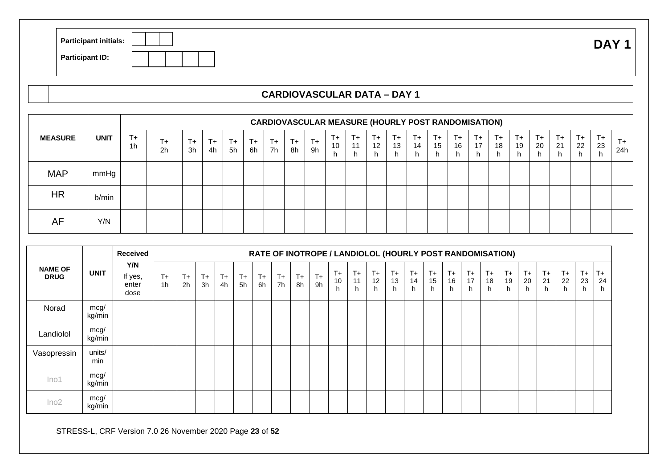| <b>Participant initials:</b> | .<br>$\mathbf{L}$<br>$\mathbf{v}$ |
|------------------------------|-----------------------------------|
| <b>Participant ID:</b>       |                                   |

#### **CARDIOVASCULAR DATA – DAY 1**

|                |             |               | <b>CARDIOVASCULAR MEASURE (HOURLY POST RANDOMISATION)</b> |                                      |           |          |           |               |               |            |           |            |                              |                 |               |                 |               |                    |               |                    |               |                    |               |            |            |
|----------------|-------------|---------------|-----------------------------------------------------------|--------------------------------------|-----------|----------|-----------|---------------|---------------|------------|-----------|------------|------------------------------|-----------------|---------------|-----------------|---------------|--------------------|---------------|--------------------|---------------|--------------------|---------------|------------|------------|
| <b>MEASURE</b> | <b>UNIT</b> | $T_{+}$<br>1h | $T_{+}$<br>2 <sub>h</sub>                                 | $\overline{\phantom{a}}$<br>T+<br>3h | $+$<br>4h | T+<br>5h | $+$<br>6h | $T_{+}$<br>7h | $T_{+}$<br>8h | $T+$<br>9h | T+.<br>10 | $T+$<br>11 | $T_{+}$<br>$12 \overline{ }$ | $T+$<br>13<br>h | $T_{+}$<br>14 | $T+$<br>15<br>h | $T_{+}$<br>16 | $T_{+}$<br>17<br>h | $T_{+}$<br>18 | $T_{+}$<br>19<br>h | $T_{+}$<br>20 | $T_{+}$<br>21<br>h | $T_{+}$<br>22 | $T+$<br>23 | $+$<br>24h |
| <b>MAP</b>     | mmHg        |               |                                                           |                                      |           |          |           |               |               |            |           |            |                              |                 |               |                 |               |                    |               |                    |               |                    |               |            |            |
| <b>HR</b>      | b/min       |               |                                                           |                                      |           |          |           |               |               |            |           |            |                              |                 |               |                 |               |                    |               |                    |               |                    |               |            |            |
| AF             | Y/N         |               |                                                           |                                      |           |          |           |               |               |            |           |            |                              |                 |               |                 |               |                    |               |                    |               |                    |               |            |            |

|                               |                | <b>Received</b>                 |                         |             |            |               |             | RATE OF INOTROPE / LANDIOLOL (HOURLY POST RANDOMISATION) |            |               |             |                  |                |                  |                     |                 |                    |                     |                    |                    |                   |                  |                  |                  |                 |                  |
|-------------------------------|----------------|---------------------------------|-------------------------|-------------|------------|---------------|-------------|----------------------------------------------------------|------------|---------------|-------------|------------------|----------------|------------------|---------------------|-----------------|--------------------|---------------------|--------------------|--------------------|-------------------|------------------|------------------|------------------|-----------------|------------------|
| <b>NAME OF</b><br><b>DRUG</b> | <b>UNIT</b>    | Y/N<br>If yes,<br>enter<br>dose | $T +$<br>1 <sub>h</sub> | $T +$<br>2h | $T+$<br>3h | $T_{+}$<br>4h | $T +$<br>5h | $T_{+}$<br>6h                                            | $T+$<br>7h | $T_{+}$<br>8h | $T +$<br>9h | $T +$<br>10<br>h | T+<br>11<br>h. | $T +$<br>12<br>h | $T_{+}$<br>13<br>h. | $T+$<br>14<br>h | $T_{+}$<br>15<br>h | $T_{+}$<br>16<br>h. | $T_{+}$<br>17<br>h | $T_{+}$<br>18<br>h | $T +$<br>19<br>h. | $T +$<br>20<br>h | $T+$<br>21<br>h. | $T +$<br>22<br>h | $T+$<br>23<br>h | $T +$<br>24<br>h |
| Norad                         | mcg/<br>kg/min |                                 |                         |             |            |               |             |                                                          |            |               |             |                  |                |                  |                     |                 |                    |                     |                    |                    |                   |                  |                  |                  |                 |                  |
| Landiolol                     | mcg/<br>kg/min |                                 |                         |             |            |               |             |                                                          |            |               |             |                  |                |                  |                     |                 |                    |                     |                    |                    |                   |                  |                  |                  |                 |                  |
| Vasopressin                   | units/<br>min  |                                 |                         |             |            |               |             |                                                          |            |               |             |                  |                |                  |                     |                 |                    |                     |                    |                    |                   |                  |                  |                  |                 |                  |
| Ino <sub>1</sub>              | mcg/<br>kg/min |                                 |                         |             |            |               |             |                                                          |            |               |             |                  |                |                  |                     |                 |                    |                     |                    |                    |                   |                  |                  |                  |                 |                  |
| Ino2                          | mcg/<br>kg/min |                                 |                         |             |            |               |             |                                                          |            |               |             |                  |                |                  |                     |                 |                    |                     |                    |                    |                   |                  |                  |                  |                 |                  |

STRESS-L, CRF Version 7.0 26 November 2020 Page **23** of **52**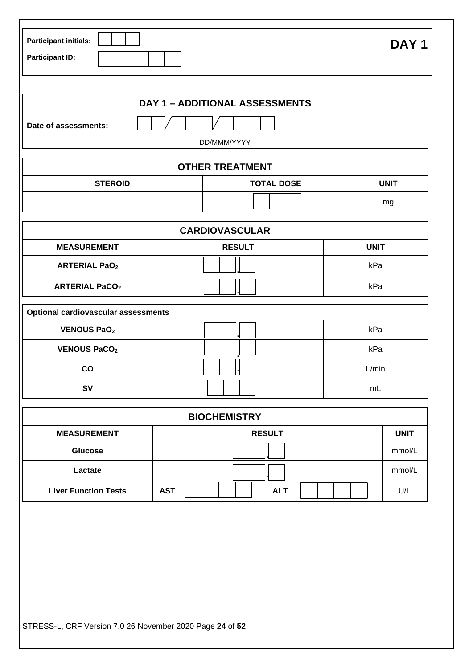| <b>Participant initials:</b> | DAY <sub>1</sub> |
|------------------------------|------------------|
| <b>Participant ID:</b>       |                  |

|                      | <b>DAY 1 - ADDITIONAL ASSESSMENTS</b> |      |
|----------------------|---------------------------------------|------|
| Date of assessments: |                                       |      |
|                      | DD/MMM/YYYY                           |      |
|                      | <b>OTHER TREATMENT</b>                |      |
| <b>STEROID</b>       | <b>TOTAL DOSE</b>                     | UNIT |

|                       | <b>CARDIOVASCULAR</b> |             |
|-----------------------|-----------------------|-------------|
| <b>MEASUREMENT</b>    | <b>RESULT</b>         | <b>UNIT</b> |
| <b>ARTERIAL PaO2</b>  |                       | kPa         |
| <b>ARTERIAL PaCO2</b> |                       | kPa         |

mg<br>Talamang mg

| <b>Optional cardiovascular assessments</b> |       |
|--------------------------------------------|-------|
| <b>VENOUS PaO2</b>                         | kPa   |
| <b>VENOUS PaCO2</b>                        | kPa   |
| CO                                         | L/min |
| <b>SV</b>                                  | mL    |

|                             | <b>BIOCHEMISTRY</b>      |             |
|-----------------------------|--------------------------|-------------|
| <b>MEASUREMENT</b>          | <b>RESULT</b>            | <b>UNIT</b> |
| <b>Glucose</b>              |                          | mmol/L      |
| Lactate                     |                          | mmol/L      |
| <b>Liver Function Tests</b> | <b>AST</b><br><b>ALT</b> | U/L         |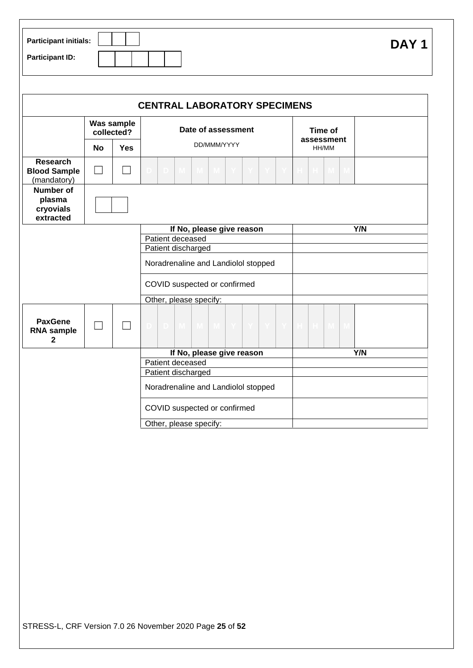| Participant initials:  | <b>DAY</b> |
|------------------------|------------|
| <b>Participant ID:</b> |            |

|                                                       |    |                          | <b>CENTRAL LABORATORY SPECIMENS</b>                          |                     |
|-------------------------------------------------------|----|--------------------------|--------------------------------------------------------------|---------------------|
|                                                       |    | Was sample<br>collected? | Date of assessment                                           | Time of             |
|                                                       | No | <b>Yes</b>               | DD/MMM/YYYY                                                  | assessment<br>HH/MM |
| <b>Research</b><br><b>Blood Sample</b><br>(mandatory) |    |                          |                                                              | M.                  |
| <b>Number of</b><br>plasma<br>cryovials<br>extracted  |    |                          |                                                              |                     |
|                                                       |    |                          | If No, please give reason                                    | Y/N                 |
|                                                       |    |                          | Patient deceased                                             |                     |
|                                                       |    |                          | Patient discharged                                           |                     |
|                                                       |    |                          | Noradrenaline and Landiolol stopped                          |                     |
|                                                       |    |                          | COVID suspected or confirmed                                 |                     |
|                                                       |    |                          | Other, please specify:                                       |                     |
| <b>PaxGene</b><br><b>RNA</b> sample<br>$\mathbf 2$    |    |                          | $\mathbf{M}$ $\mathbf{M}$<br>$\mathbf{Y}$<br>M<br>D.<br>-Y I | н.<br>M.            |
|                                                       |    |                          | If No, please give reason                                    | Y/N                 |
|                                                       |    |                          | Patient deceased                                             |                     |
|                                                       |    |                          | Patient discharged                                           |                     |
|                                                       |    |                          | Noradrenaline and Landiolol stopped                          |                     |
|                                                       |    |                          | COVID suspected or confirmed                                 |                     |
|                                                       |    |                          | Other, please specify:                                       |                     |

STRESS-L, CRF Version 7.0 26 November 2020 Page **25** of **52**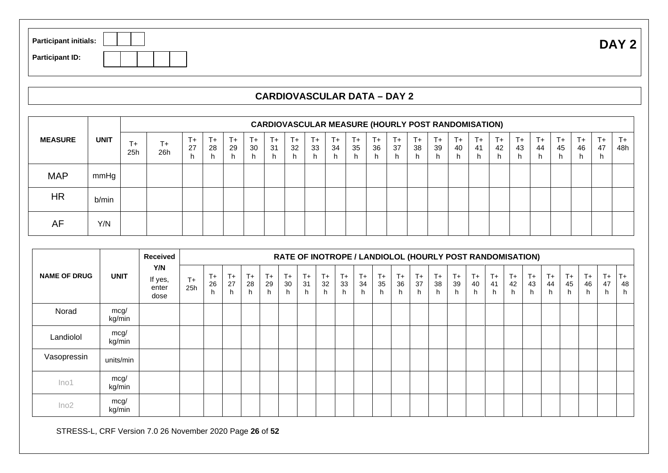| <b>Participant initials:</b> | DAY <sub>2</sub> |
|------------------------------|------------------|
| <b>Participant ID:</b>       |                  |

### **CARDIOVASCULAR DATA – DAY 2**

|                |             |            | <b>CARDIOVASCULAR MEASURE (HOURLY POST RANDOMISATION)</b> |                     |                 |                     |                 |                  |                  |                 |                 |                 |             |               |            |               |               |               |                    |                     |                     |                     |                  |                     |                |
|----------------|-------------|------------|-----------------------------------------------------------|---------------------|-----------------|---------------------|-----------------|------------------|------------------|-----------------|-----------------|-----------------|-------------|---------------|------------|---------------|---------------|---------------|--------------------|---------------------|---------------------|---------------------|------------------|---------------------|----------------|
| <b>MEASURE</b> | <b>UNIT</b> | l +<br>25h | $T+$<br>26h                                               | $T_{+}$<br>27<br>h. | $T+$<br>28<br>h | $T_{+}$<br>29<br>h. | $T+$<br>30<br>h | $T+$<br>-31<br>h | $T +$<br>32<br>r | $T+$<br>33<br>h | $T+$<br>34<br>h | $T+$<br>35<br>h | $T+$<br>-36 | $T_{+}$<br>37 | $T+$<br>38 | $T_{+}$<br>39 | $T_{+}$<br>40 | $T_{+}$<br>41 | $T_{+}$<br>42<br>n | $T_{+}$<br>43<br>h. | $T_{+}$<br>44<br>n. | $T_{+}$<br>45<br>h. | $T+$<br>46<br>h. | $T_{+}$<br>47<br>h. | $T_{+}$<br>48h |
| <b>MAP</b>     | mmHg        |            |                                                           |                     |                 |                     |                 |                  |                  |                 |                 |                 |             |               |            |               |               |               |                    |                     |                     |                     |                  |                     |                |
| <b>HR</b>      | b/min       |            |                                                           |                     |                 |                     |                 |                  |                  |                 |                 |                 |             |               |            |               |               |               |                    |                     |                     |                     |                  |                     |                |
| AF             | Y/N         |            |                                                           |                     |                 |                     |                 |                  |                  |                 |                 |                 |             |               |            |               |               |               |                    |                     |                     |                     |                  |                     |                |

|                     |                | <b>Received</b>                 |             | RATE OF INOTROPE / LANDIOLOL (HOURLY POST RANDOMISATION) |                     |                   |                 |                    |                  |                  |                    |                     |                    |                  |                   |                  |                  |                      |                    |                    |                  |                    |                  |                    |                     |                    |
|---------------------|----------------|---------------------------------|-------------|----------------------------------------------------------|---------------------|-------------------|-----------------|--------------------|------------------|------------------|--------------------|---------------------|--------------------|------------------|-------------------|------------------|------------------|----------------------|--------------------|--------------------|------------------|--------------------|------------------|--------------------|---------------------|--------------------|
| <b>NAME OF DRUG</b> | <b>UNIT</b>    | Y/N<br>If yes,<br>enter<br>dose | $T+$<br>25h | $T +$<br>26<br>h.                                        | $T_{+}$<br>27<br>h. | $T +$<br>28<br>h. | $T+$<br>29<br>h | $T_{+}$<br>30<br>h | $T +$<br>31<br>h | $T +$<br>32<br>h | $T_{+}$<br>33<br>h | $T_{+}$<br>34<br>h. | $T_{+}$<br>35<br>h | $T +$<br>36<br>h | $T +$<br>37<br>h. | $T +$<br>38<br>h | $T +$<br>39<br>h | $T_{+}$<br>40<br>h — | $T_{+}$<br>41<br>h | $T_{+}$<br>42<br>h | $T+$<br>43<br>h. | $T_{+}$<br>44<br>h | $T +$<br>45<br>h | $T_{+}$<br>46<br>h | $T_{+}$<br>47<br>n. | $T_{+}$<br>48<br>h |
| Norad               | mcg/<br>kg/min |                                 |             |                                                          |                     |                   |                 |                    |                  |                  |                    |                     |                    |                  |                   |                  |                  |                      |                    |                    |                  |                    |                  |                    |                     |                    |
| Landiolol           | mcg/<br>kg/min |                                 |             |                                                          |                     |                   |                 |                    |                  |                  |                    |                     |                    |                  |                   |                  |                  |                      |                    |                    |                  |                    |                  |                    |                     |                    |
| Vasopressin         | units/min      |                                 |             |                                                          |                     |                   |                 |                    |                  |                  |                    |                     |                    |                  |                   |                  |                  |                      |                    |                    |                  |                    |                  |                    |                     |                    |
| Ino1                | mcg/<br>kg/min |                                 |             |                                                          |                     |                   |                 |                    |                  |                  |                    |                     |                    |                  |                   |                  |                  |                      |                    |                    |                  |                    |                  |                    |                     |                    |
| Ino2                | mcg/<br>kg/min |                                 |             |                                                          |                     |                   |                 |                    |                  |                  |                    |                     |                    |                  |                   |                  |                  |                      |                    |                    |                  |                    |                  |                    |                     |                    |

STRESS-L, CRF Version 7.0 26 November 2020 Page **26** of **52**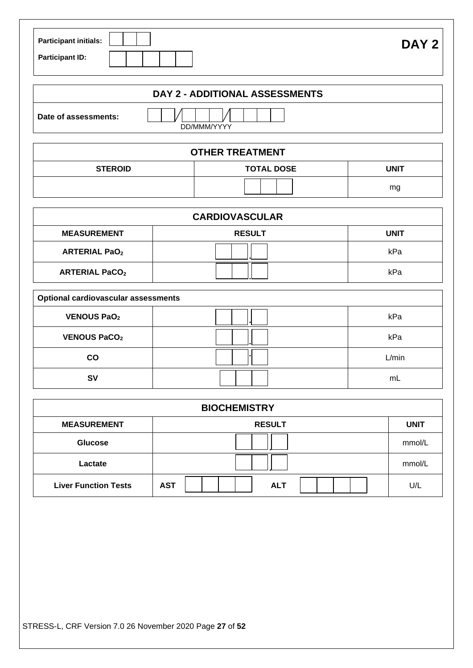| <b>Participant initials:</b> | DAY <sub>2</sub> |
|------------------------------|------------------|
| <b>Participant ID:</b>       |                  |

| Date of assessments: |
|----------------------|
|                      |

|                | <b>OTHER TREATMENT</b> |      |  |  |  |  |  |  |  |  |
|----------------|------------------------|------|--|--|--|--|--|--|--|--|
| <b>STEROID</b> | <b>TOTAL DOSE</b>      | UNIT |  |  |  |  |  |  |  |  |
|                |                        | mg   |  |  |  |  |  |  |  |  |

| <b>CARDIOVASCULAR</b> |               |             |  |  |  |  |  |  |  |
|-----------------------|---------------|-------------|--|--|--|--|--|--|--|
| <b>MEASUREMENT</b>    | <b>RESULT</b> | <b>UNIT</b> |  |  |  |  |  |  |  |
| <b>ARTERIAL PaO2</b>  |               | kPa         |  |  |  |  |  |  |  |
| <b>ARTERIAL PaCO2</b> |               | kPa         |  |  |  |  |  |  |  |

| <b>Optional cardiovascular assessments</b> |  |       |  |  |  |  |  |  |  |  |
|--------------------------------------------|--|-------|--|--|--|--|--|--|--|--|
| <b>VENOUS PaO2</b>                         |  | kPa   |  |  |  |  |  |  |  |  |
| <b>VENOUS PaCO2</b>                        |  | kPa   |  |  |  |  |  |  |  |  |
| CO                                         |  | L/min |  |  |  |  |  |  |  |  |
| S٧                                         |  | mL    |  |  |  |  |  |  |  |  |

| <b>BIOCHEMISTRY</b>         |                          |             |  |  |  |  |  |  |  |  |
|-----------------------------|--------------------------|-------------|--|--|--|--|--|--|--|--|
| <b>MEASUREMENT</b>          | <b>RESULT</b>            | <b>UNIT</b> |  |  |  |  |  |  |  |  |
| <b>Glucose</b>              |                          | mmol/L      |  |  |  |  |  |  |  |  |
| Lactate                     |                          | mmol/L      |  |  |  |  |  |  |  |  |
| <b>Liver Function Tests</b> | <b>AST</b><br><b>ALT</b> | U/L         |  |  |  |  |  |  |  |  |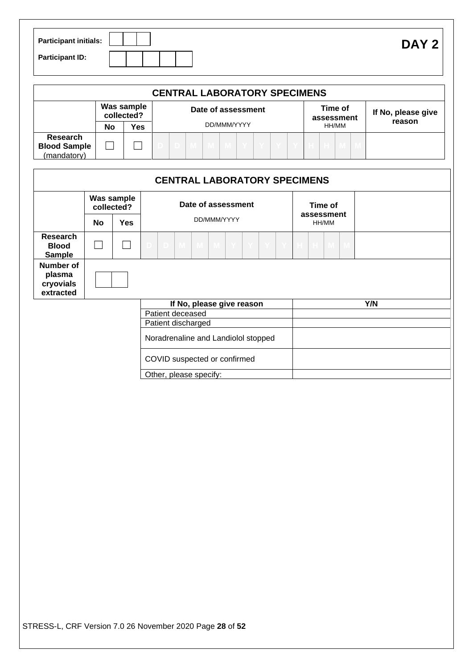| <b>Participant initials:</b> | DAY <sub>2</sub> |
|------------------------------|------------------|
| <b>Participant ID:</b>       |                  |

|                                                       | <b>CENTRAL LABORATORY SPECIMENS</b> |                    |  |             |  |  |  |  |  |                       |       |  |  |                    |        |  |  |
|-------------------------------------------------------|-------------------------------------|--------------------|--|-------------|--|--|--|--|--|-----------------------|-------|--|--|--------------------|--------|--|--|
|                                                       | Was sample<br>collected?            | Date of assessment |  |             |  |  |  |  |  | Time of<br>assessment |       |  |  | If No, please give |        |  |  |
|                                                       | No                                  | Yes                |  | DD/MMM/YYYY |  |  |  |  |  |                       | HH/MM |  |  |                    | reason |  |  |
| <b>Research</b><br><b>Blood Sample</b><br>(mandatory) |                                     |                    |  |             |  |  |  |  |  |                       |       |  |  |                    |        |  |  |

|                                               |    |                          |                                     |                  |                        | <b>CENTRAL LABORATORY SPECIMENS</b> |              |              |              |       |                     |               |  |  |     |  |
|-----------------------------------------------|----|--------------------------|-------------------------------------|------------------|------------------------|-------------------------------------|--------------|--------------|--------------|-------|---------------------|---------------|--|--|-----|--|
|                                               |    | Was sample<br>collected? | Date of assessment                  |                  |                        |                                     |              |              |              |       | Time of             |               |  |  |     |  |
|                                               | No | <b>Yes</b>               |                                     |                  |                        | DD/MMM/YYYY                         |              |              |              |       | assessment<br>HH/MM |               |  |  |     |  |
| <b>Research</b><br>Blood<br><b>Sample</b>     |    |                          | D.                                  | M                | $M_{\odot}$            | M                                   | $\mathbf{Y}$ | $\mathbf{Y}$ | $\mathbf{Y}$ | $- Y$ | $\mathbb H$         | $\mathbb H$ . |  |  |     |  |
| Number of<br>plasma<br>cryovials<br>extracted |    |                          |                                     |                  |                        |                                     |              |              |              |       |                     |               |  |  |     |  |
|                                               |    |                          |                                     |                  |                        | If No, please give reason           |              |              |              |       |                     |               |  |  | Y/N |  |
|                                               |    |                          |                                     | Patient deceased |                        |                                     |              |              |              |       |                     |               |  |  |     |  |
|                                               |    |                          |                                     |                  | Patient discharged     |                                     |              |              |              |       |                     |               |  |  |     |  |
|                                               |    |                          | Noradrenaline and Landiolol stopped |                  |                        |                                     |              |              |              |       |                     |               |  |  |     |  |
|                                               |    |                          |                                     |                  |                        | COVID suspected or confirmed        |              |              |              |       |                     |               |  |  |     |  |
|                                               |    |                          |                                     |                  | Other, please specify: |                                     |              |              |              |       |                     |               |  |  |     |  |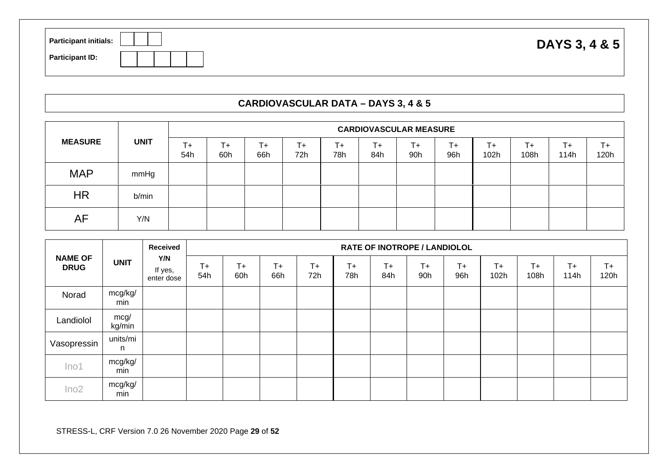| <b>Participant initials:</b> | DAYS 3, 4 & 5 |
|------------------------------|---------------|
| <b>Participant ID:</b>       |               |

#### **CARDIOVASCULAR DATA – DAYS 3, 4 & 5**

|                | <b>UNIT</b> |           | <b>CARDIOVASCULAR MEASURE</b> |           |           |           |            |            |           |            |            |                 |            |  |  |  |
|----------------|-------------|-----------|-------------------------------|-----------|-----------|-----------|------------|------------|-----------|------------|------------|-----------------|------------|--|--|--|
| <b>MEASURE</b> |             | T+<br>54h | T+<br>60h                     | T+<br>66h | T+<br>72h | T+<br>78h | l +<br>84h | $+$<br>90h | T+<br>96h | T+<br>102h | T+<br>108h | $T_{+}$<br>114h | T+<br>120h |  |  |  |
| <b>MAP</b>     | mmHg        |           |                               |           |           |           |            |            |           |            |            |                 |            |  |  |  |
| HR             | b/min       |           |                               |           |           |           |            |            |           |            |            |                 |            |  |  |  |
| AF             | Y/N         |           |                               |           |           |           |            |            |           |            |            |                 |            |  |  |  |

|                               |                | <b>Received</b><br>Y/N<br>If yes,<br>enter dose | <b>RATE OF INOTROPE / LANDIOLOL</b> |           |              |             |              |              |              |             |                 |               |               |               |  |  |
|-------------------------------|----------------|-------------------------------------------------|-------------------------------------|-----------|--------------|-------------|--------------|--------------|--------------|-------------|-----------------|---------------|---------------|---------------|--|--|
| <b>NAME OF</b><br><b>DRUG</b> | <b>UNIT</b>    |                                                 | $T+$<br>54h                         | T+<br>60h | $T +$<br>66h | $T+$<br>72h | $T +$<br>78h | $T +$<br>84h | $T +$<br>90h | $T+$<br>96h | $T_{+}$<br>102h | $T +$<br>108h | $T +$<br>114h | $T +$<br>120h |  |  |
| Norad                         | mcg/kg/<br>min |                                                 |                                     |           |              |             |              |              |              |             |                 |               |               |               |  |  |
| Landiolol                     | mcg/<br>kg/min |                                                 |                                     |           |              |             |              |              |              |             |                 |               |               |               |  |  |
| Vasopressin                   | units/mi<br>n. |                                                 |                                     |           |              |             |              |              |              |             |                 |               |               |               |  |  |
| Ino1                          | mcg/kg/<br>min |                                                 |                                     |           |              |             |              |              |              |             |                 |               |               |               |  |  |
| Ino2                          | mcg/kg/<br>min |                                                 |                                     |           |              |             |              |              |              |             |                 |               |               |               |  |  |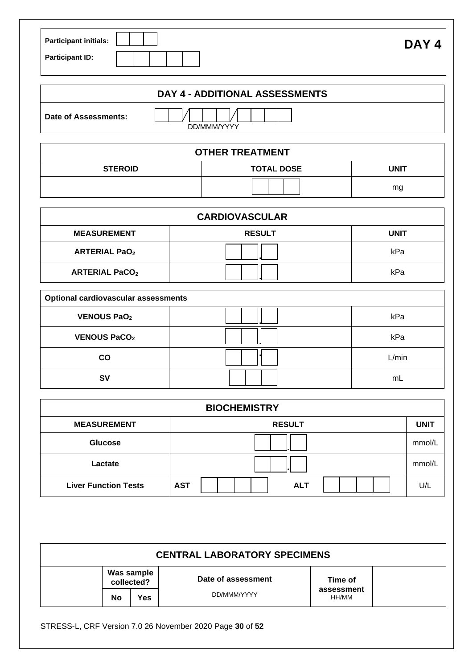| <b>Participant initials:</b> |  |  |  |
|------------------------------|--|--|--|
| <b>Participant ID:</b>       |  |  |  |

|                      | DAY 4 - ADDITIONAL ASSESSMENTS |  |
|----------------------|--------------------------------|--|
| Date of Assessments: | DD/MMM/YYYY                    |  |

| <b>OTHER TREATMENT</b>                      |    |  |  |  |  |  |  |  |  |
|---------------------------------------------|----|--|--|--|--|--|--|--|--|
| UNIT<br><b>STEROID</b><br><b>TOTAL DOSE</b> |    |  |  |  |  |  |  |  |  |
|                                             | mg |  |  |  |  |  |  |  |  |

| <b>CARDIOVASCULAR</b> |               |             |  |  |  |  |  |
|-----------------------|---------------|-------------|--|--|--|--|--|
| <b>MEASUREMENT</b>    | <b>RESULT</b> | <b>UNIT</b> |  |  |  |  |  |
| <b>ARTERIAL PaO2</b>  |               | kPa         |  |  |  |  |  |
| <b>ARTERIAL PaCO2</b> |               | kPa         |  |  |  |  |  |

| <b>Optional cardiovascular assessments</b> |       |
|--------------------------------------------|-------|
| <b>VENOUS PaO2</b>                         | kPa   |
| <b>VENOUS PaCO2</b>                        | kPa   |
| <b>CO</b>                                  | L/min |
| <b>SV</b>                                  | mL    |

| <b>BIOCHEMISTRY</b>         |                          |             |  |  |  |  |  |  |  |
|-----------------------------|--------------------------|-------------|--|--|--|--|--|--|--|
| <b>MEASUREMENT</b>          | <b>RESULT</b>            | <b>UNIT</b> |  |  |  |  |  |  |  |
| <b>Glucose</b>              |                          | mmol/L      |  |  |  |  |  |  |  |
| Lactate                     |                          | mmol/L      |  |  |  |  |  |  |  |
| <b>Liver Function Tests</b> | <b>AST</b><br><b>ALT</b> | U/L         |  |  |  |  |  |  |  |

| <b>CENTRAL LABORATORY SPECIMENS</b> |                          |                    |                     |  |  |  |  |  |  |
|-------------------------------------|--------------------------|--------------------|---------------------|--|--|--|--|--|--|
|                                     | Was sample<br>collected? | Date of assessment | Time of             |  |  |  |  |  |  |
| No                                  | Yes                      | DD/MMM/YYYY        | assessment<br>HH/MM |  |  |  |  |  |  |

STRESS-L, CRF Version 7.0 26 November 2020 Page **30** of **52**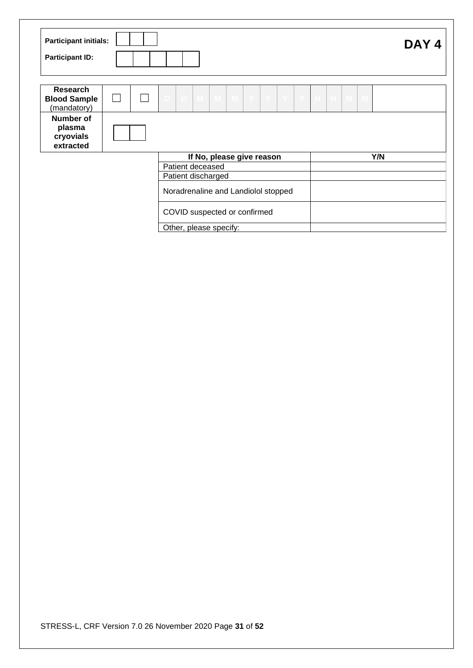| <b>Participant initials:</b><br><b>Participant ID:</b> |   |                                                                | DAY <sub>4</sub> |
|--------------------------------------------------------|---|----------------------------------------------------------------|------------------|
| <b>Research</b><br><b>Blood Sample</b><br>(mandatory)  | L | D M M<br>M'<br> Y Y<br>$\parallel$ Y $\parallel$ H $\parallel$ | $H$ M<br>M       |
| Number of<br>plasma<br>cryovials<br>extracted          |   |                                                                |                  |
|                                                        |   | If No, please give reason                                      | Y/N              |
|                                                        |   | Patient deceased                                               |                  |
|                                                        |   | Patient discharged                                             |                  |
|                                                        |   | Noradrenaline and Landiolol stopped                            |                  |
|                                                        |   | COVID suspected or confirmed                                   |                  |
|                                                        |   | Other, please specify:                                         |                  |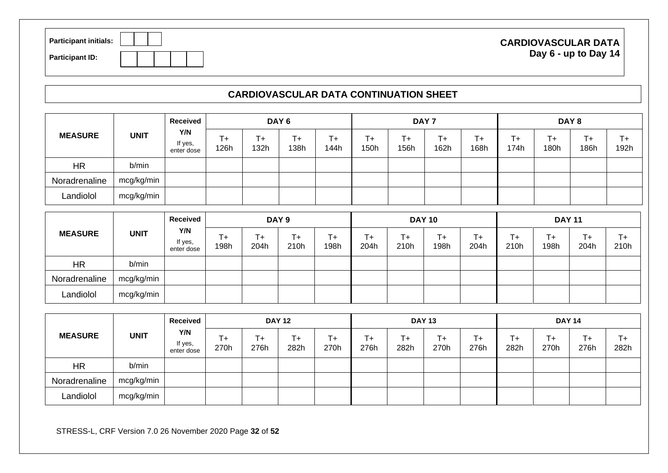| <b>Participant initials:</b> |  |  |  |
|------------------------------|--|--|--|
| <b>Participant ID:</b>       |  |  |  |

#### **CARDIOVASCULAR DATA Day 6 - up to Day 14**

### **CARDIOVASCULAR DATA CONTINUATION SHEET**

|                | <b>UNIT</b> | Received<br>Y/N<br>If yes,<br>enter dose | DAY <sub>6</sub> |             |            | DAY <sub>7</sub> |                 |            |            | DAY 8         |                 |                 |                 |               |
|----------------|-------------|------------------------------------------|------------------|-------------|------------|------------------|-----------------|------------|------------|---------------|-----------------|-----------------|-----------------|---------------|
| <b>MEASURE</b> |             |                                          | T+<br>126h       | $+$<br>132h | T+<br>138h | T+<br>144h       | $T_{+}$<br>150h | T+<br>156h | T+<br>162h | $T +$<br>168h | $T_{+}$<br>174h | $T_{+}$<br>180h | $T_{+}$<br>186h | $T +$<br>192h |
| <b>HR</b>      | b/min       |                                          |                  |             |            |                  |                 |            |            |               |                 |                 |                 |               |
| Noradrenaline  | mcg/kg/min  |                                          |                  |             |            |                  |                 |            |            |               |                 |                 |                 |               |
| Landiolol      | mcg/kg/min  |                                          |                  |             |            |                  |                 |            |            |               |                 |                 |                 |               |

|                |             | Received                     | DAY <sub>9</sub> |             |            |            | <b>DAY 10</b> |            |            |               | <b>DAY 11</b>     |                   |                 |            |
|----------------|-------------|------------------------------|------------------|-------------|------------|------------|---------------|------------|------------|---------------|-------------------|-------------------|-----------------|------------|
| <b>MEASURE</b> | <b>UNIT</b> | Y/N<br>If yes,<br>enter dose | T+<br>198h       | Τ+⊺<br>204h | T+<br>210h | T+<br>198h | T+<br>204h    | T+<br>210h | T+<br>198h | $T +$<br>204h | $\ddot{}$<br>210h | $T_{\pm}$<br>198h | $T_{+}$<br>204h | T+<br>210h |
| <b>HR</b>      | b/min       |                              |                  |             |            |            |               |            |            |               |                   |                   |                 |            |
| Noradrenaline  | mcg/kg/min  |                              |                  |             |            |            |               |            |            |               |                   |                   |                 |            |
| Landiolol      | mcg/kg/min  |                              |                  |             |            |            |               |            |            |               |                   |                   |                 |            |

|                |             | Received                     | <b>DAY 12</b>   |                   |                 | <b>DAY 13</b> |            |            |               | <b>DAY 14</b> |            |            |            |               |
|----------------|-------------|------------------------------|-----------------|-------------------|-----------------|---------------|------------|------------|---------------|---------------|------------|------------|------------|---------------|
| <b>MEASURE</b> | <b>UNIT</b> | Y/N<br>If yes,<br>enter dose | $T_{+}$<br>270h | $\ddot{}$<br>276h | $T_{+}$<br>282h | T+<br>270h    | T+<br>276h | т+<br>282h | $T +$<br>270h | T+<br>276h    | T+<br>282h | T+<br>270h | T+<br>276h | $T +$<br>282h |
| <b>HR</b>      | b/min       |                              |                 |                   |                 |               |            |            |               |               |            |            |            |               |
| Noradrenaline  | mcg/kg/min  |                              |                 |                   |                 |               |            |            |               |               |            |            |            |               |
| Landiolol      | mcg/kg/min  |                              |                 |                   |                 |               |            |            |               |               |            |            |            |               |

STRESS-L, CRF Version 7.0 26 November 2020 Page **32** of **52**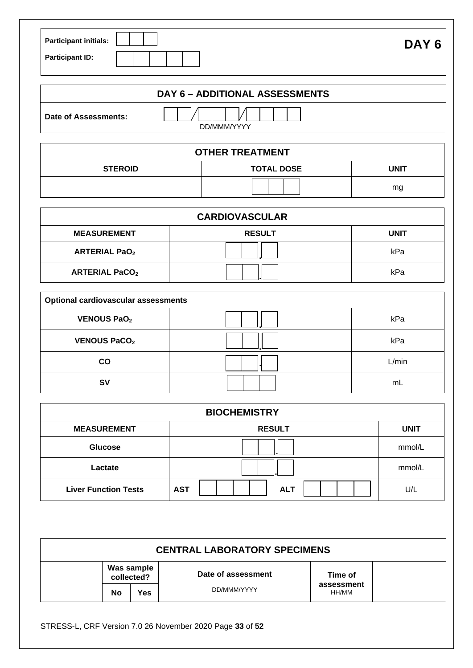| <b>Participant initials:</b> |  |
|------------------------------|--|
| <b>Participant ID:</b>       |  |

|                      | <b>DAY 6 - ADDITIONAL ASSESSMENTS</b> |  |
|----------------------|---------------------------------------|--|
| Date of Assessments: | DD/MMM/YYYY                           |  |
|                      |                                       |  |

| <b>OTHER TREATMENT</b> |                   |      |  |  |  |
|------------------------|-------------------|------|--|--|--|
| <b>STEROID</b>         | <b>TOTAL DOSE</b> | UNIT |  |  |  |
|                        |                   | mg   |  |  |  |

| <b>CARDIOVASCULAR</b> |               |             |  |  |  |
|-----------------------|---------------|-------------|--|--|--|
| <b>MEASUREMENT</b>    | <b>RESULT</b> | <b>UNIT</b> |  |  |  |
| <b>ARTERIAL PaO2</b>  |               | kPa         |  |  |  |
| <b>ARTERIAL PaCO2</b> |               | kPa         |  |  |  |

| <b>Optional cardiovascular assessments</b> |  |       |  |  |  |
|--------------------------------------------|--|-------|--|--|--|
| <b>VENOUS PaO2</b>                         |  | kPa   |  |  |  |
| <b>VENOUS PaCO2</b>                        |  | kPa   |  |  |  |
| <b>CO</b>                                  |  | L/min |  |  |  |
| <b>SV</b>                                  |  | mL    |  |  |  |

| <b>BIOCHEMISTRY</b>         |                          |             |  |  |  |
|-----------------------------|--------------------------|-------------|--|--|--|
| <b>MEASUREMENT</b>          | <b>RESULT</b>            | <b>UNIT</b> |  |  |  |
| <b>Glucose</b>              |                          | mmol/L      |  |  |  |
| Lactate                     |                          | mmol/L      |  |  |  |
| <b>Liver Function Tests</b> | <b>AST</b><br><b>ALT</b> | U/L         |  |  |  |

| <b>CENTRAL LABORATORY SPECIMENS</b> |                          |  |                    |                     |  |
|-------------------------------------|--------------------------|--|--------------------|---------------------|--|
|                                     | Was sample<br>collected? |  | Date of assessment | Time of             |  |
|                                     | Yes.<br>No               |  | DD/MMM/YYYY        | assessment<br>HH/MM |  |

STRESS-L, CRF Version 7.0 26 November 2020 Page **33** of **52**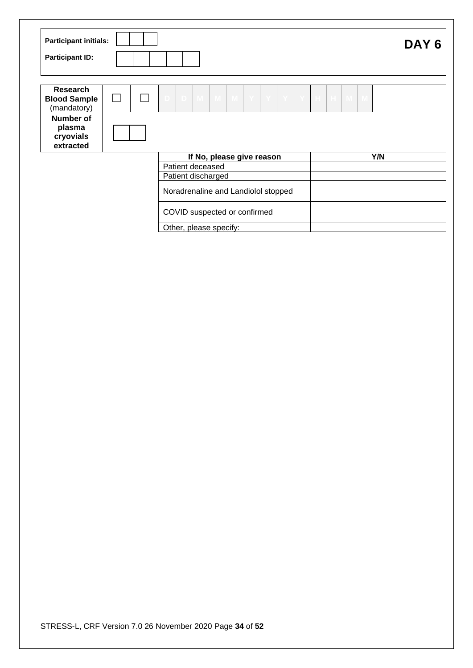| <b>Participant initials:</b><br><b>Participant ID:</b> |              |  |                                     |                           |   |   |       |       |    |     | DAY <sub>6</sub> |  |
|--------------------------------------------------------|--------------|--|-------------------------------------|---------------------------|---|---|-------|-------|----|-----|------------------|--|
| Research<br><b>Blood Sample</b><br>(mandatory)         | $\mathbf{L}$ |  | D M M                               | Y <br>M                   | Y | Y | $Y$ H | $H$ M | -M |     |                  |  |
| Number of<br>plasma<br>cryovials<br>extracted          |              |  |                                     |                           |   |   |       |       |    |     |                  |  |
|                                                        |              |  |                                     | If No, please give reason |   |   |       |       |    | Y/N |                  |  |
|                                                        |              |  | Patient deceased                    |                           |   |   |       |       |    |     |                  |  |
|                                                        |              |  | Patient discharged                  |                           |   |   |       |       |    |     |                  |  |
|                                                        |              |  | Noradrenaline and Landiolol stopped |                           |   |   |       |       |    |     |                  |  |
|                                                        |              |  | COVID suspected or confirmed        |                           |   |   |       |       |    |     |                  |  |
|                                                        |              |  | Other, please specify:              |                           |   |   |       |       |    |     |                  |  |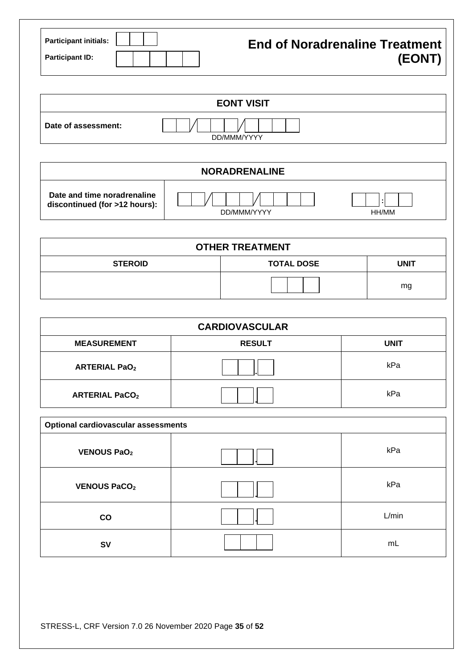| <b>Participant initials:</b> |  |  | <b>End of Noradrenaline Treatment</b> |
|------------------------------|--|--|---------------------------------------|
| <b>Participant ID:</b>       |  |  | (EONT)                                |

|                     | <b>EONT VISIT</b> |  |
|---------------------|-------------------|--|
| Date of assessment: | DD/MMM/YYYY       |  |

| <b>NORADRENALINE</b>                                         |             |              |  |  |
|--------------------------------------------------------------|-------------|--------------|--|--|
| Date and time noradrenaline<br>discontinued (for >12 hours): | DD/MMM/YYYY | . .<br>HH/MM |  |  |

| <b>OTHER TREATMENT</b> |                   |             |  |  |  |
|------------------------|-------------------|-------------|--|--|--|
| <b>STEROID</b>         | <b>TOTAL DOSE</b> | <b>UNIT</b> |  |  |  |
|                        |                   | mg          |  |  |  |

| <b>CARDIOVASCULAR</b> |               |             |  |  |  |
|-----------------------|---------------|-------------|--|--|--|
| <b>MEASUREMENT</b>    | <b>RESULT</b> | <b>UNIT</b> |  |  |  |
| <b>ARTERIAL PaO2</b>  |               | kPa         |  |  |  |
| <b>ARTERIAL PaCO2</b> |               | kPa         |  |  |  |

| <b>Optional cardiovascular assessments</b> |  |       |  |  |  |
|--------------------------------------------|--|-------|--|--|--|
| <b>VENOUS PaO2</b>                         |  | kPa   |  |  |  |
| <b>VENOUS PaCO2</b>                        |  | kPa   |  |  |  |
| co                                         |  | L/min |  |  |  |
| <b>SV</b>                                  |  | mL    |  |  |  |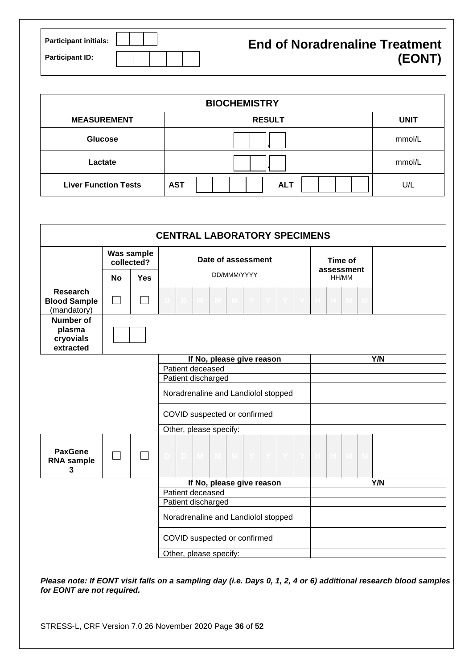| <b>Participant initials:</b> | <b>End of Noradrenaline Treatment</b> |
|------------------------------|---------------------------------------|
| <b>Participant ID:</b>       | (EONT)                                |

| <b>BIOCHEMISTRY</b>         |                          |             |  |  |  |
|-----------------------------|--------------------------|-------------|--|--|--|
| <b>MEASUREMENT</b>          | <b>RESULT</b>            | <b>UNIT</b> |  |  |  |
| <b>Glucose</b>              |                          | mmol/L      |  |  |  |
| Lactate                     |                          | mmol/L      |  |  |  |
| <b>Liver Function Tests</b> | <b>AST</b><br><b>ALT</b> | U/L         |  |  |  |

| <b>CENTRAL LABORATORY SPECIMENS</b>                   |           |                          |                                     |                               |  |
|-------------------------------------------------------|-----------|--------------------------|-------------------------------------|-------------------------------|--|
|                                                       |           | Was sample<br>collected? | Date of assessment                  | Time of                       |  |
|                                                       | <b>No</b> | <b>Yes</b>               | DD/MMM/YYYY                         | assessment<br>HH/MM           |  |
| <b>Research</b><br><b>Blood Sample</b><br>(mandatory) |           |                          | -M-                                 | M.<br>-M                      |  |
| <b>Number of</b><br>plasma<br>cryovials<br>extracted  |           |                          |                                     |                               |  |
|                                                       |           |                          | If No, please give reason           | Y/N                           |  |
|                                                       |           |                          | Patient deceased                    |                               |  |
|                                                       |           |                          | Patient discharged                  |                               |  |
|                                                       |           |                          | Noradrenaline and Landiolol stopped |                               |  |
|                                                       |           |                          | COVID suspected or confirmed        |                               |  |
|                                                       |           |                          | Other, please specify:              |                               |  |
| <b>PaxGene</b><br><b>RNA</b> sample<br>3              |           |                          | M M M Y<br>D<br>D.<br>IY.           | $\mathbb H$<br>$\blacksquare$ |  |
|                                                       |           |                          | If No, please give reason           | Y/N                           |  |
|                                                       |           |                          | Patient deceased                    |                               |  |
|                                                       |           |                          | Patient discharged                  |                               |  |
|                                                       |           |                          | Noradrenaline and Landiolol stopped |                               |  |
|                                                       |           |                          | COVID suspected or confirmed        |                               |  |
|                                                       |           |                          | Other, please specify:              |                               |  |

*Please note: If EONT visit falls on a sampling day (i.e. Days 0, 1, 2, 4 or 6) additional research blood samples for EONT are not required.*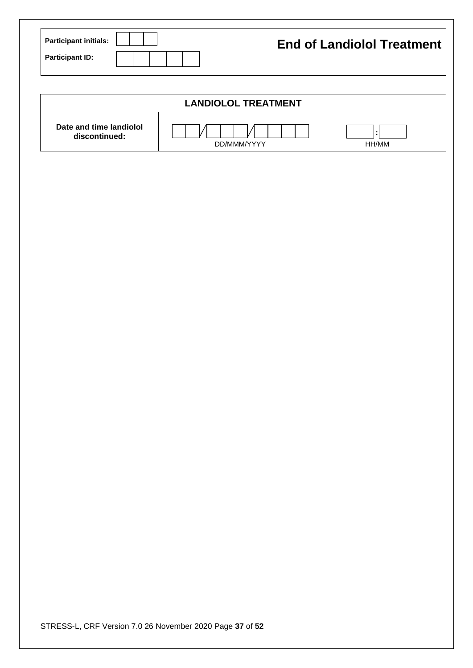| Participant initials: | <b>End of Landiolol Treatment</b> |
|-----------------------|-----------------------------------|
| Participant ID:       |                                   |

| <b>LANDIOLOL TREATMENT</b>               |             |       |  |  |  |
|------------------------------------------|-------------|-------|--|--|--|
| Date and time landiolol<br>discontinued: | DD/MMM/YYYY | HH/MM |  |  |  |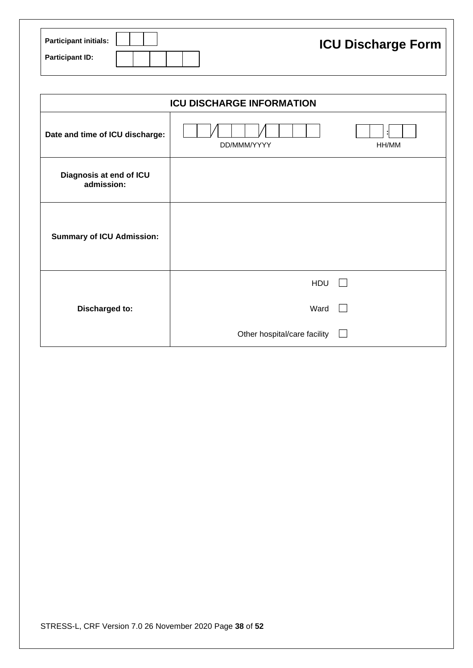| <b>Participant initials:</b> |  | <b>ICU Discharge Form</b> |
|------------------------------|--|---------------------------|
| <b>Participant ID:</b>       |  |                           |

|                                       | <b>ICU DISCHARGE INFORMATION</b> |       |  |  |  |
|---------------------------------------|----------------------------------|-------|--|--|--|
| Date and time of ICU discharge:       | DD/MMM/YYYY                      | HH/MM |  |  |  |
| Diagnosis at end of ICU<br>admission: |                                  |       |  |  |  |
| <b>Summary of ICU Admission:</b>      |                                  |       |  |  |  |
|                                       | <b>HDU</b>                       |       |  |  |  |
| Discharged to:                        | Ward                             |       |  |  |  |
|                                       | Other hospital/care facility     |       |  |  |  |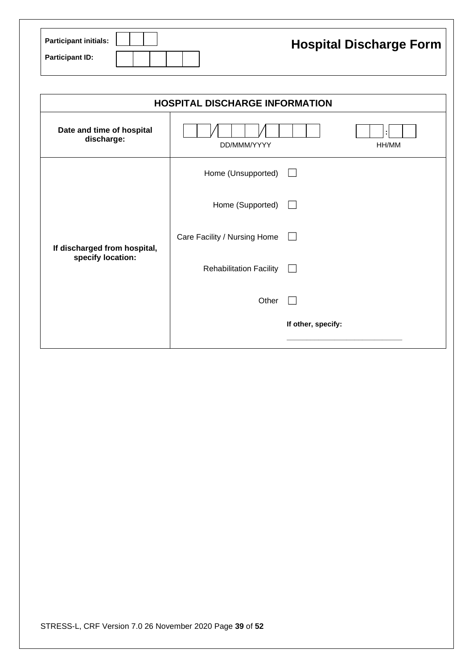| <b>Participant initials:</b> |  |  |  |  |  | <b>Hospital Discharge Form</b> |
|------------------------------|--|--|--|--|--|--------------------------------|
| <b>Participant ID:</b>       |  |  |  |  |  |                                |

| <b>HOSPITAL DISCHARGE INFORMATION</b>             |                                |                    |  |  |  |  |
|---------------------------------------------------|--------------------------------|--------------------|--|--|--|--|
| Date and time of hospital<br>discharge:           | DD/MMM/YYYY                    | HH/MM              |  |  |  |  |
|                                                   | Home (Unsupported)             | $\mathbf{I}$       |  |  |  |  |
|                                                   | Home (Supported)               | $\perp$            |  |  |  |  |
| If discharged from hospital,<br>specify location: | Care Facility / Nursing Home   |                    |  |  |  |  |
|                                                   | <b>Rehabilitation Facility</b> | $\perp$            |  |  |  |  |
|                                                   | Other                          |                    |  |  |  |  |
|                                                   |                                | If other, specify: |  |  |  |  |
|                                                   |                                |                    |  |  |  |  |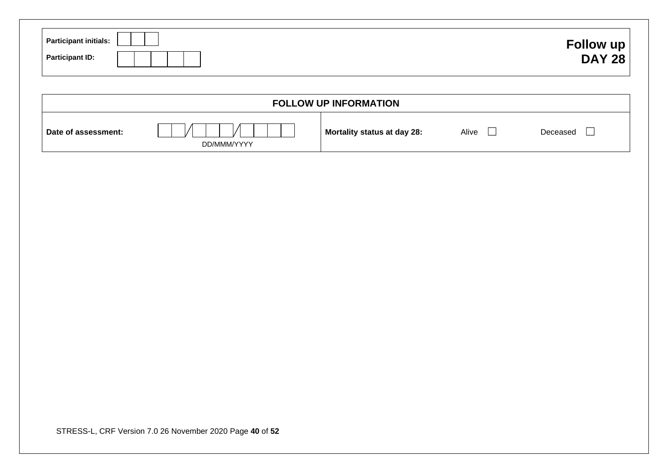| <b>Participant initials:</b><br><b>Participant ID:</b>   |             |                             |              | Follow up<br><b>DAY 28</b> |
|----------------------------------------------------------|-------------|-----------------------------|--------------|----------------------------|
|                                                          |             | FOLLOW UP INFORMATION       |              |                            |
| Date of assessment:                                      | DD/MMM/YYYY | Mortality status at day 28: | Alive $\Box$ | Deceased<br>$\Box$         |
|                                                          |             |                             |              |                            |
|                                                          |             |                             |              |                            |
|                                                          |             |                             |              |                            |
|                                                          |             |                             |              |                            |
|                                                          |             |                             |              |                            |
|                                                          |             |                             |              |                            |
|                                                          |             |                             |              |                            |
| STRESS-L, CRF Version 7.0 26 November 2020 Page 40 of 52 |             |                             |              |                            |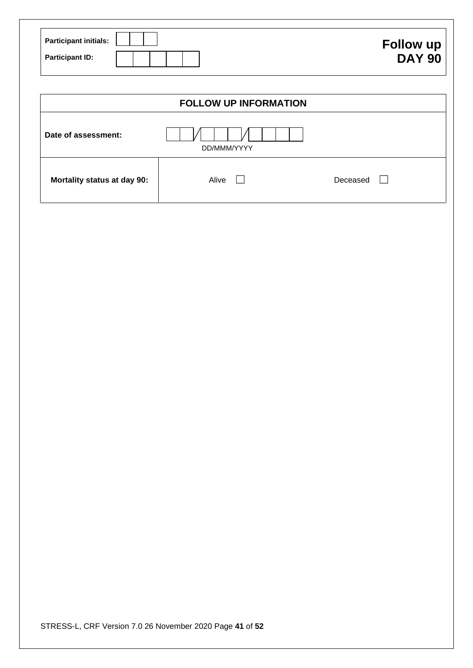| <b>Participant initials:</b> | Follow up     |
|------------------------------|---------------|
| <b>Participant ID:</b>       | <b>DAY 90</b> |

|                             | <b>FOLLOW UP INFORMATION</b> |          |
|-----------------------------|------------------------------|----------|
| Date of assessment:         | DD/MMM/YYYY                  |          |
| Mortality status at day 90: | Alive                        | Deceased |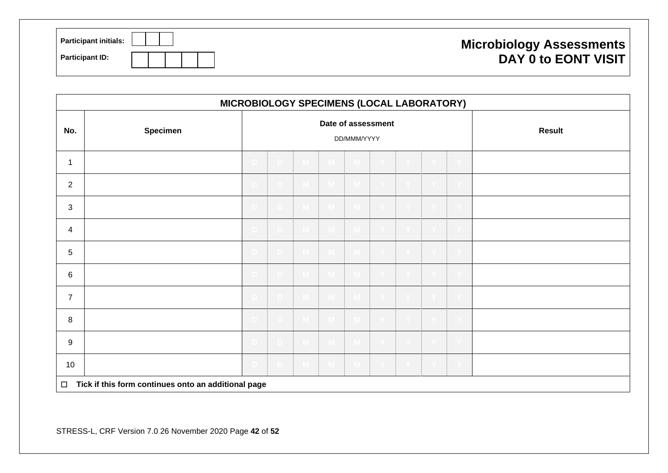| <b>Participant initials:</b> | <b>Microbiology Assessments</b> |
|------------------------------|---------------------------------|
| <b>Participant ID:</b>       | <b>DAY 0 to EONT VISIT</b>      |

|                | MICROBIOLOGY SPECIMENS (LOCAL LABORATORY)           |    |                 |                  |                    |              |               |         |              |  |  |  |
|----------------|-----------------------------------------------------|----|-----------------|------------------|--------------------|--------------|---------------|---------|--------------|--|--|--|
| No.            | <b>Specimen</b>                                     |    |                 |                  | Date of assessment | DD/MMM/YYYY  | <b>Result</b> |         |              |  |  |  |
| 1              |                                                     |    | D.              |                  | VI.                |              |               |         |              |  |  |  |
| $\mathbf{2}$   |                                                     | D. | D.              |                  | - M                |              |               | T.      |              |  |  |  |
| $\mathbf{3}$   |                                                     | D  | ∴D.             |                  | $M_{\odot}$        | M,           |               |         |              |  |  |  |
| 4              |                                                     | D  | - D -           | $\blacksquare$ M | $M_{\odot}$        | M            |               | i Yi    |              |  |  |  |
| $\sqrt{5}$     |                                                     | D. | $-D^-$          | $-M$             | $M_{\odot}$        | M            |               | $- Y$   |              |  |  |  |
| $\,6\,$        |                                                     | D. | - D-            |                  |                    |              |               |         |              |  |  |  |
| $\overline{7}$ |                                                     | D. | - D -           | $\blacksquare$   | $-M$               | $\mathbf{M}$ |               | i Yi    |              |  |  |  |
| 8              |                                                     | D. | D.              | $\Box$ M $\Box$  | $\blacksquare$     | $\mathbf{M}$ |               | $- Y -$ | $\mathbf{Y}$ |  |  |  |
| $\mathsf g$    |                                                     | D. | - D -           | $\mathbf{M}$     | $-M$               | $\mathbf{M}$ |               | i Yi    |              |  |  |  |
| 10             |                                                     | D. | $\Box$ D $\Box$ | $M_{\odot}$      | $M_{\odot}$        | $M_{\odot}$  |               | $- Y -$ | $\mathbf{Y}$ |  |  |  |
| $\Box$         | Tick if this form continues onto an additional page |    |                 |                  |                    |              |               |         |              |  |  |  |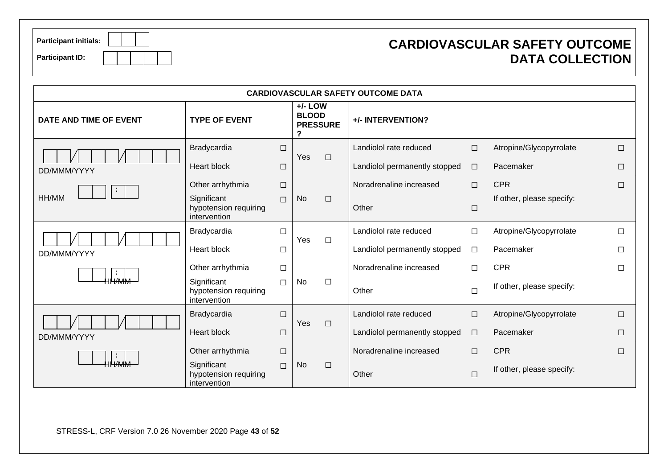| <b>Participant initials:</b> |  |  |  |
|------------------------------|--|--|--|
| <b>Participant ID:</b>       |  |  |  |

### **CARDIOVASCULAR SAFETY OUTCOME DATA COLLECTION**

|                        |                                                      |        |                                                   |        | <b>CARDIOVASCULAR SAFETY OUTCOME DATA</b> |        |                           |        |  |  |  |  |
|------------------------|------------------------------------------------------|--------|---------------------------------------------------|--------|-------------------------------------------|--------|---------------------------|--------|--|--|--|--|
| DATE AND TIME OF EVENT | <b>TYPE OF EVENT</b>                                 |        | $+/-$ LOW<br><b>BLOOD</b><br><b>PRESSURE</b><br>? |        | +/- INTERVENTION?                         |        |                           |        |  |  |  |  |
|                        | Bradycardia                                          | $\Box$ | Yes                                               |        | Landiolol rate reduced                    | $\Box$ | Atropine/Glycopyrrolate   | $\Box$ |  |  |  |  |
| DD/MMM/YYYY            | <b>Heart block</b>                                   | $\Box$ |                                                   | $\Box$ | Landiolol permanently stopped             | $\Box$ | Pacemaker                 | П      |  |  |  |  |
| $\blacksquare$         | Other arrhythmia                                     | $\Box$ |                                                   |        | Noradrenaline increased                   | $\Box$ | <b>CPR</b>                | $\Box$ |  |  |  |  |
| HH/MM                  | Significant<br>hypotension requiring<br>intervention | $\Box$ | <b>No</b>                                         | $\Box$ | Other                                     | $\Box$ | If other, please specify: |        |  |  |  |  |
|                        | Bradycardia                                          | □      |                                                   |        | Landiolol rate reduced                    | $\Box$ | Atropine/Glycopyrrolate   | П      |  |  |  |  |
| DD/MMM/YYYY            | Heart block                                          | $\Box$ | Yes                                               | $\Box$ | Landiolol permanently stopped             | $\Box$ | Pacemaker                 | П      |  |  |  |  |
|                        | Other arrhythmia                                     | $\Box$ |                                                   |        | Noradrenaline increased                   | П      | <b>CPR</b>                | $\Box$ |  |  |  |  |
| НН∕ММ                  | Significant<br>hypotension requiring<br>intervention | $\Box$ | No                                                | $\Box$ | Other                                     | $\Box$ | If other, please specify: |        |  |  |  |  |
|                        | Bradycardia                                          | □      |                                                   |        | Landiolol rate reduced                    | $\Box$ | Atropine/Glycopyrrolate   | $\Box$ |  |  |  |  |
| DD/MMM/YYYY            | <b>Heart block</b>                                   | □      | Yes                                               | $\Box$ | Landiolol permanently stopped             | $\Box$ | Pacemaker                 | $\Box$ |  |  |  |  |
|                        | Other arrhythmia                                     | $\Box$ |                                                   |        | Noradrenaline increased                   | $\Box$ | <b>CPR</b>                | $\Box$ |  |  |  |  |
|                        | Significant<br>hypotension requiring<br>intervention | $\Box$ | <b>No</b>                                         | $\Box$ | Other                                     | $\Box$ | If other, please specify: |        |  |  |  |  |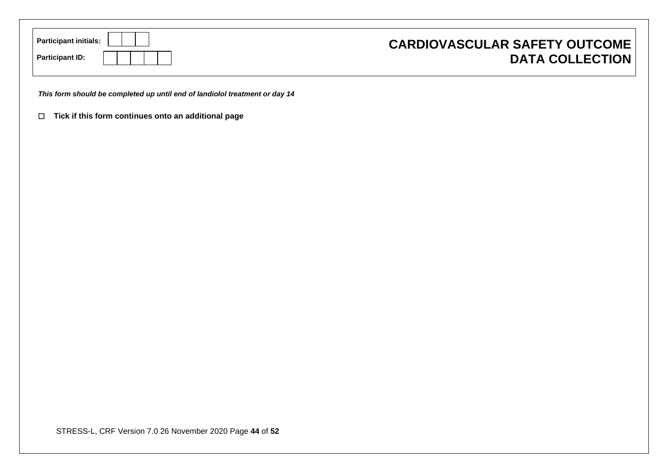| <b>Participant initials:</b><br><b>Participant ID:</b>                      | <b>CARDIOVASCULAR SAFETY OUTCOME</b><br><b>DATA COLLECTION</b> |
|-----------------------------------------------------------------------------|----------------------------------------------------------------|
| This form should be completed up until end of landiolol treatment or day 14 |                                                                |
| $\Box$ Tick if this form continues onto an additional page                  |                                                                |
|                                                                             |                                                                |
|                                                                             |                                                                |
|                                                                             |                                                                |
|                                                                             |                                                                |
|                                                                             |                                                                |
|                                                                             |                                                                |
|                                                                             |                                                                |
|                                                                             |                                                                |
|                                                                             |                                                                |
|                                                                             |                                                                |
|                                                                             |                                                                |
|                                                                             |                                                                |

STRESS-L, CRF Version 7.0 26 November 2020 Page **44** of **52**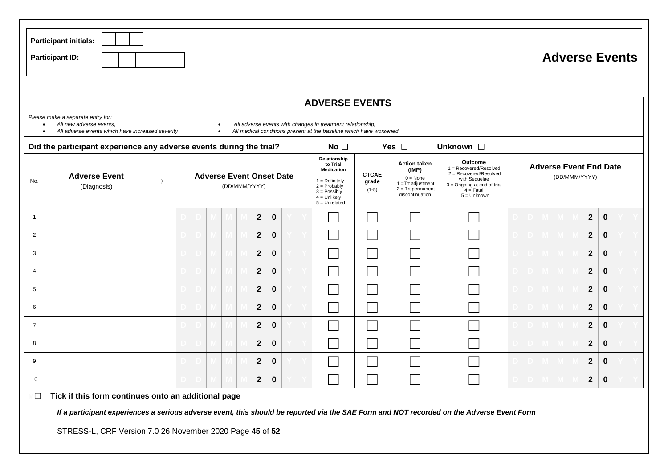|                 | <b>Participant initials:</b><br><b>Participant ID:</b>                                                                                                                                                                                                                                                   |           |  |  |  |  |  |                                                                                                                                                                                                                                                                                                                                                                                                                                                                                                                                                 |             |  |  |  |  |  |  |  |  |  |                |             | <b>Adverse Events</b> |  |
|-----------------|----------------------------------------------------------------------------------------------------------------------------------------------------------------------------------------------------------------------------------------------------------------------------------------------------------|-----------|--|--|--|--|--|-------------------------------------------------------------------------------------------------------------------------------------------------------------------------------------------------------------------------------------------------------------------------------------------------------------------------------------------------------------------------------------------------------------------------------------------------------------------------------------------------------------------------------------------------|-------------|--|--|--|--|--|--|--|--|--|----------------|-------------|-----------------------|--|
|                 | <b>ADVERSE EVENTS</b>                                                                                                                                                                                                                                                                                    |           |  |  |  |  |  |                                                                                                                                                                                                                                                                                                                                                                                                                                                                                                                                                 |             |  |  |  |  |  |  |  |  |  |                |             |                       |  |
|                 | Please make a separate entry for:<br>All new adverse events,<br>All adverse events with changes in treatment relationship,<br>$\bullet$<br>$\bullet$<br>All medical conditions present at the baseline which have worsened<br>All adverse events which have increased severity<br>$\bullet$<br>$\bullet$ |           |  |  |  |  |  |                                                                                                                                                                                                                                                                                                                                                                                                                                                                                                                                                 |             |  |  |  |  |  |  |  |  |  |                |             |                       |  |
|                 | No <sub>1</sub><br>Yes $\square$<br>Unknown $\square$<br>Did the participant experience any adverse events during the trial?                                                                                                                                                                             |           |  |  |  |  |  |                                                                                                                                                                                                                                                                                                                                                                                                                                                                                                                                                 |             |  |  |  |  |  |  |  |  |  |                |             |                       |  |
| No.             | <b>Adverse Event</b><br>(Diagnosis)                                                                                                                                                                                                                                                                      | $\lambda$ |  |  |  |  |  | Relationship<br>Outcome<br><b>Action taken</b><br>to Trial<br><b>Adverse Event End Date</b><br>1 = Recovered/Resolved<br>Medication<br>(IMP)<br>$2 =$ Recovered/Resolved<br><b>CTCAE</b><br><b>Adverse Event Onset Date</b><br>(DD/MMM/YYYY)<br>$0 = None$<br>with Sequelae<br>$1 = Definitely$<br>grade<br>1 = Trt adjustment<br>3 = Ongoing at end of trial<br>(DD/MMM/YYYY)<br>$2 = Probability$<br>$2 =$ Trt permanent<br>$(1-5)$<br>$4 =$ Fatal<br>$3 =$ Possibly<br>discontinuation<br>$5 =$ Unknown<br>$4 =$ Unlikely<br>$5 =$ Unrelated |             |  |  |  |  |  |  |  |  |  |                |             |                       |  |
| $\overline{1}$  |                                                                                                                                                                                                                                                                                                          |           |  |  |  |  |  | $\mathbf{2}$                                                                                                                                                                                                                                                                                                                                                                                                                                                                                                                                    | $\bf{0}$    |  |  |  |  |  |  |  |  |  | $\mathbf 2$    | $\bf{0}$    |                       |  |
| $\overline{2}$  |                                                                                                                                                                                                                                                                                                          |           |  |  |  |  |  | $\mathbf{2}$                                                                                                                                                                                                                                                                                                                                                                                                                                                                                                                                    | $\mathbf 0$ |  |  |  |  |  |  |  |  |  | $\overline{2}$ | $\bf{0}$    |                       |  |
| 3               |                                                                                                                                                                                                                                                                                                          |           |  |  |  |  |  | $\mathbf{2}$                                                                                                                                                                                                                                                                                                                                                                                                                                                                                                                                    | $\mathbf 0$ |  |  |  |  |  |  |  |  |  | $\mathbf{2}$   | $\mathbf 0$ |                       |  |
| $\overline{4}$  |                                                                                                                                                                                                                                                                                                          |           |  |  |  |  |  | $\mathbf{2}$                                                                                                                                                                                                                                                                                                                                                                                                                                                                                                                                    | $\bf{0}$    |  |  |  |  |  |  |  |  |  | $\mathbf{2}$   | $\bf{0}$    |                       |  |
| $5\phantom{.0}$ |                                                                                                                                                                                                                                                                                                          |           |  |  |  |  |  | $\mathbf{2}$                                                                                                                                                                                                                                                                                                                                                                                                                                                                                                                                    | $\mathbf 0$ |  |  |  |  |  |  |  |  |  | $\mathbf{2}$   | $\bf{0}$    |                       |  |
| 6               |                                                                                                                                                                                                                                                                                                          |           |  |  |  |  |  | $\mathbf{2}$                                                                                                                                                                                                                                                                                                                                                                                                                                                                                                                                    | $\bf{0}$    |  |  |  |  |  |  |  |  |  | $\mathbf 2$    | $\bf{0}$    |                       |  |
| $\overline{7}$  |                                                                                                                                                                                                                                                                                                          |           |  |  |  |  |  | $\mathbf{2}$                                                                                                                                                                                                                                                                                                                                                                                                                                                                                                                                    | $\mathbf 0$ |  |  |  |  |  |  |  |  |  | $\mathbf{2}$   | $\mathbf 0$ |                       |  |
| 8               |                                                                                                                                                                                                                                                                                                          |           |  |  |  |  |  | $\mathbf{2}$                                                                                                                                                                                                                                                                                                                                                                                                                                                                                                                                    | $\bf{0}$    |  |  |  |  |  |  |  |  |  | $\mathbf 2$    | $\pmb{0}$   |                       |  |
| 9               |                                                                                                                                                                                                                                                                                                          |           |  |  |  |  |  | $\mathbf{2}$                                                                                                                                                                                                                                                                                                                                                                                                                                                                                                                                    | $\bf{0}$    |  |  |  |  |  |  |  |  |  | $\mathbf 2$    | $\bf{0}$    |                       |  |
| 10              |                                                                                                                                                                                                                                                                                                          |           |  |  |  |  |  | $\overline{2}$                                                                                                                                                                                                                                                                                                                                                                                                                                                                                                                                  | $\mathbf 0$ |  |  |  |  |  |  |  |  |  | $\mathbf{2}$   | $\pmb{0}$   |                       |  |
| $\Box$          | Tick if this form continues onto an additional page                                                                                                                                                                                                                                                      |           |  |  |  |  |  |                                                                                                                                                                                                                                                                                                                                                                                                                                                                                                                                                 |             |  |  |  |  |  |  |  |  |  |                |             |                       |  |

*If a participant experiences a serious adverse event, this should be reported via the SAE Form and NOT recorded on the Adverse Event Form*

STRESS-L, CRF Version 7.0 26 November 2020 Page **45** of **52**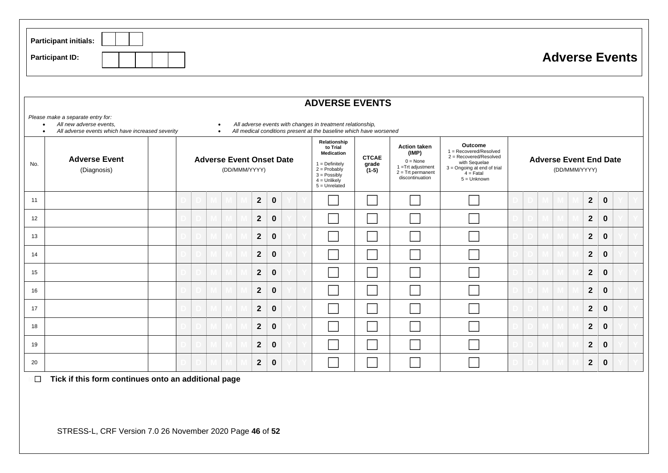|     | <b>Participant initials:</b><br><b>Participant ID:</b>                                                                                                                                                                                                                                                                            |  |  |  |  |  |                                                  |  |                |             |  |  |                                                                                                                                               |                                  |                                                                                                                     |                                                                                                                                             |  |  |               |              | <b>Adverse Events</b>         |  |
|-----|-----------------------------------------------------------------------------------------------------------------------------------------------------------------------------------------------------------------------------------------------------------------------------------------------------------------------------------|--|--|--|--|--|--------------------------------------------------|--|----------------|-------------|--|--|-----------------------------------------------------------------------------------------------------------------------------------------------|----------------------------------|---------------------------------------------------------------------------------------------------------------------|---------------------------------------------------------------------------------------------------------------------------------------------|--|--|---------------|--------------|-------------------------------|--|
|     | <b>ADVERSE EVENTS</b><br>Please make a separate entry for:<br>All new adverse events,<br>All adverse events with changes in treatment relationship,<br>$\bullet$<br>$\bullet$<br>All medical conditions present at the baseline which have worsened<br>All adverse events which have increased severity<br>$\bullet$<br>$\bullet$ |  |  |  |  |  |                                                  |  |                |             |  |  |                                                                                                                                               |                                  |                                                                                                                     |                                                                                                                                             |  |  |               |              |                               |  |
| No. | <b>Adverse Event</b><br>(Diagnosis)                                                                                                                                                                                                                                                                                               |  |  |  |  |  | <b>Adverse Event Onset Date</b><br>(DD/MMM/YYYY) |  |                |             |  |  | Relationship<br>to Trial<br><b>Medication</b><br>$1 = Definitely$<br>$2 = Probability$<br>$3 =$ Possibly<br>$4 =$ Unlikely<br>$5 =$ Unrelated | <b>CTCAE</b><br>grade<br>$(1-5)$ | <b>Action taken</b><br>(IMP)<br>$0 = None$<br>$1 =$ Trt adjustment<br>$2 = \text{Trt permanent}$<br>discontinuation | Outcome<br>1 = Recovered/Resolved<br>2 = Recovered/Resolved<br>with Sequelae<br>3 = Ongoing at end of trial<br>$4 =$ Fatal<br>$5 =$ Unknown |  |  | (DD/MMM/YYYY) |              | <b>Adverse Event End Date</b> |  |
| 11  |                                                                                                                                                                                                                                                                                                                                   |  |  |  |  |  |                                                  |  | $\mathbf{2}$   | $\bf{0}$    |  |  |                                                                                                                                               |                                  |                                                                                                                     |                                                                                                                                             |  |  |               | $\mathbf{2}$ | $\mathbf 0$                   |  |
| 12  |                                                                                                                                                                                                                                                                                                                                   |  |  |  |  |  |                                                  |  | $\mathbf{2}$   | $\bf{0}$    |  |  |                                                                                                                                               |                                  |                                                                                                                     |                                                                                                                                             |  |  |               | $\mathbf{2}$ | $\mathbf 0$                   |  |
| 13  |                                                                                                                                                                                                                                                                                                                                   |  |  |  |  |  |                                                  |  | $\mathbf{2}$   | $\mathbf 0$ |  |  |                                                                                                                                               |                                  |                                                                                                                     |                                                                                                                                             |  |  |               | $\mathbf{2}$ | $\mathbf 0$                   |  |
| 14  |                                                                                                                                                                                                                                                                                                                                   |  |  |  |  |  |                                                  |  | $\mathbf{2}$   | $\mathbf 0$ |  |  |                                                                                                                                               |                                  |                                                                                                                     |                                                                                                                                             |  |  |               | $\mathbf{2}$ | $\mathbf 0$                   |  |
| 15  |                                                                                                                                                                                                                                                                                                                                   |  |  |  |  |  |                                                  |  | $\mathbf{2}$   | $\bf{0}$    |  |  |                                                                                                                                               |                                  |                                                                                                                     |                                                                                                                                             |  |  |               | $\mathbf{2}$ | 0                             |  |
| 16  |                                                                                                                                                                                                                                                                                                                                   |  |  |  |  |  |                                                  |  | $\mathbf{2}$   | $\mathbf 0$ |  |  |                                                                                                                                               |                                  |                                                                                                                     |                                                                                                                                             |  |  |               | $\mathbf{2}$ | 0                             |  |
| 17  |                                                                                                                                                                                                                                                                                                                                   |  |  |  |  |  |                                                  |  | $\mathbf{2}$   | $\bf{0}$    |  |  |                                                                                                                                               |                                  |                                                                                                                     |                                                                                                                                             |  |  |               | $\mathbf{2}$ | 0                             |  |
| 18  |                                                                                                                                                                                                                                                                                                                                   |  |  |  |  |  |                                                  |  | $\mathbf{2}$   | $\mathbf 0$ |  |  |                                                                                                                                               |                                  |                                                                                                                     |                                                                                                                                             |  |  |               | $\mathbf{2}$ | $\mathbf 0$                   |  |
| 19  |                                                                                                                                                                                                                                                                                                                                   |  |  |  |  |  |                                                  |  | $\overline{2}$ | $\mathbf 0$ |  |  |                                                                                                                                               |                                  |                                                                                                                     |                                                                                                                                             |  |  |               | $\mathbf{2}$ | $\mathbf 0$                   |  |
| 20  |                                                                                                                                                                                                                                                                                                                                   |  |  |  |  |  |                                                  |  | $\mathbf{2}$   | $\bf{0}$    |  |  |                                                                                                                                               |                                  |                                                                                                                     |                                                                                                                                             |  |  |               | $\mathbf{2}$ | $\mathbf 0$                   |  |

**M**☐ **Tick if this form continues onto an additional page**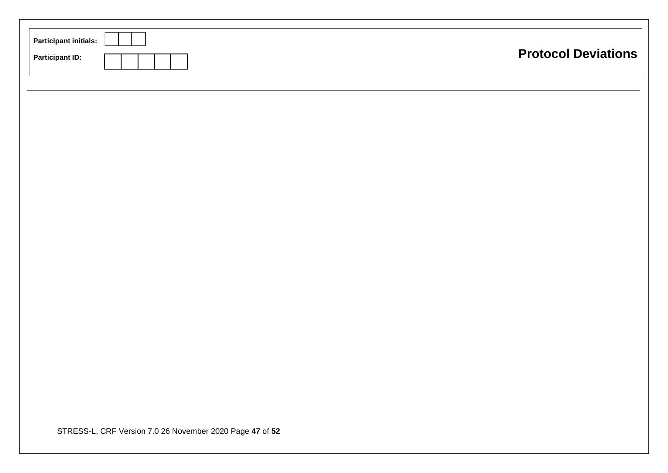| <b>Participant initials:</b><br><b>Participant ID:</b>   | <b>Protocol Deviations</b> |
|----------------------------------------------------------|----------------------------|
|                                                          |                            |
|                                                          |                            |
|                                                          |                            |
|                                                          |                            |
|                                                          |                            |
| STRESS-L, CRF Version 7.0 26 November 2020 Page 47 of 52 |                            |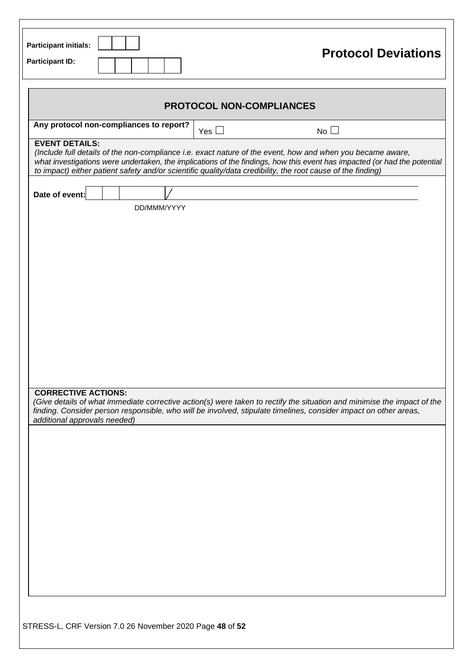| <b>Participant initials:</b><br><b>Participant ID:</b>     | <b>Protocol Deviations</b>                                                                                                                                                                                                                                                                                                                            |
|------------------------------------------------------------|-------------------------------------------------------------------------------------------------------------------------------------------------------------------------------------------------------------------------------------------------------------------------------------------------------------------------------------------------------|
|                                                            | <b>PROTOCOL NON-COMPLIANCES</b>                                                                                                                                                                                                                                                                                                                       |
| Any protocol non-compliances to report?                    | $No$ $\Box$<br>Yes $\Box$                                                                                                                                                                                                                                                                                                                             |
| <b>EVENT DETAILS:</b>                                      | (Include full details of the non-compliance i.e. exact nature of the event, how and when you became aware,<br>what investigations were undertaken, the implications of the findings, how this event has impacted (or had the potential<br>to impact) either patient safety and/or scientific quality/data credibility, the root cause of the finding) |
| Date of event:<br>DD/MMM/YYYY                              |                                                                                                                                                                                                                                                                                                                                                       |
|                                                            |                                                                                                                                                                                                                                                                                                                                                       |
|                                                            |                                                                                                                                                                                                                                                                                                                                                       |
|                                                            |                                                                                                                                                                                                                                                                                                                                                       |
|                                                            |                                                                                                                                                                                                                                                                                                                                                       |
| <b>CORRECTIVE ACTIONS:</b><br>additional approvals needed) | (Give details of what immediate corrective action(s) were taken to rectify the situation and minimise the impact of the<br>finding. Consider person responsible, who will be involved, stipulate timelines, consider impact on other areas,                                                                                                           |
|                                                            |                                                                                                                                                                                                                                                                                                                                                       |
|                                                            |                                                                                                                                                                                                                                                                                                                                                       |
|                                                            |                                                                                                                                                                                                                                                                                                                                                       |
|                                                            |                                                                                                                                                                                                                                                                                                                                                       |
|                                                            |                                                                                                                                                                                                                                                                                                                                                       |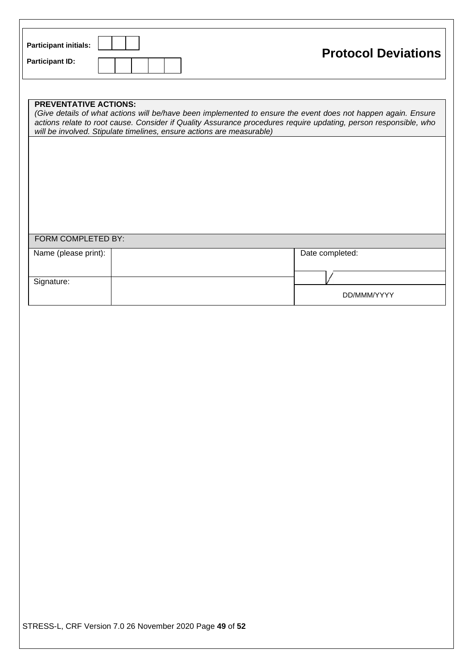| <b>Participant initials:</b> | <b>Protocol Deviations</b> |
|------------------------------|----------------------------|
| <b>Participant ID:</b>       |                            |

| <b>PREVENTATIVE ACTIONS:</b><br>(Give details of what actions will be/have been implemented to ensure the event does not happen again. Ensure<br>actions relate to root cause. Consider if Quality Assurance procedures require updating, person responsible, who<br>will be involved. Stipulate timelines, ensure actions are measurable) |  |                 |  |  |  |  |  |  |  |  |
|--------------------------------------------------------------------------------------------------------------------------------------------------------------------------------------------------------------------------------------------------------------------------------------------------------------------------------------------|--|-----------------|--|--|--|--|--|--|--|--|
|                                                                                                                                                                                                                                                                                                                                            |  |                 |  |  |  |  |  |  |  |  |
|                                                                                                                                                                                                                                                                                                                                            |  |                 |  |  |  |  |  |  |  |  |
|                                                                                                                                                                                                                                                                                                                                            |  |                 |  |  |  |  |  |  |  |  |
|                                                                                                                                                                                                                                                                                                                                            |  |                 |  |  |  |  |  |  |  |  |
|                                                                                                                                                                                                                                                                                                                                            |  |                 |  |  |  |  |  |  |  |  |
| FORM COMPLETED BY:                                                                                                                                                                                                                                                                                                                         |  |                 |  |  |  |  |  |  |  |  |
| Name (please print):                                                                                                                                                                                                                                                                                                                       |  | Date completed: |  |  |  |  |  |  |  |  |
| Signature:                                                                                                                                                                                                                                                                                                                                 |  |                 |  |  |  |  |  |  |  |  |
|                                                                                                                                                                                                                                                                                                                                            |  | DD/MMM/YYYY     |  |  |  |  |  |  |  |  |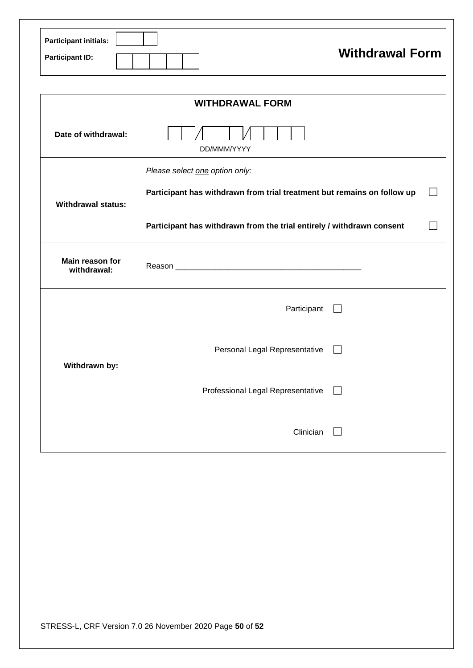| <b>Participant initials:</b> |                        |
|------------------------------|------------------------|
| <b>Participant ID:</b>       | <b>Withdrawal Form</b> |

| <b>WITHDRAWAL FORM</b>         |                                                                                                                                                                                    |  |  |  |  |  |
|--------------------------------|------------------------------------------------------------------------------------------------------------------------------------------------------------------------------------|--|--|--|--|--|
| Date of withdrawal:            | DD/MMM/YYYY                                                                                                                                                                        |  |  |  |  |  |
| <b>Withdrawal status:</b>      | Please select one option only:<br>Participant has withdrawn from trial treatment but remains on follow up<br>Participant has withdrawn from the trial entirely / withdrawn consent |  |  |  |  |  |
| Main reason for<br>withdrawal: |                                                                                                                                                                                    |  |  |  |  |  |
| Withdrawn by:                  | Participant                                                                                                                                                                        |  |  |  |  |  |
|                                | Personal Legal Representative                                                                                                                                                      |  |  |  |  |  |
|                                | Professional Legal Representative                                                                                                                                                  |  |  |  |  |  |
|                                | Clinician                                                                                                                                                                          |  |  |  |  |  |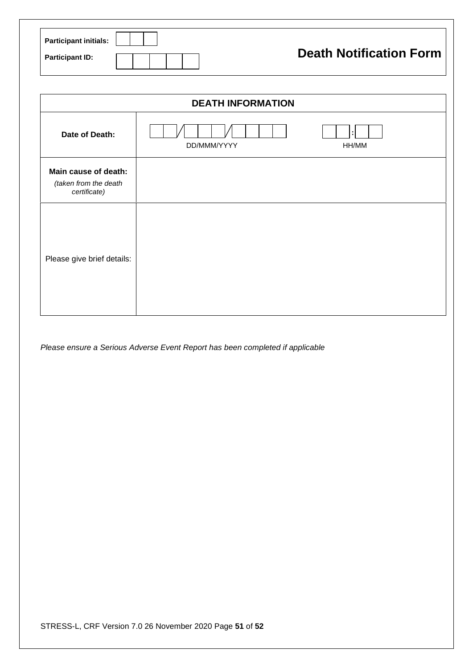| Participant initials: $\ $ |  |  |  |  |                                |
|----------------------------|--|--|--|--|--------------------------------|
| <b>Participant ID:</b>     |  |  |  |  | <b>Death Notification Form</b> |

| <b>DEATH INFORMATION</b>                                      |             |            |  |  |  |  |
|---------------------------------------------------------------|-------------|------------|--|--|--|--|
| Date of Death:                                                | DD/MMM/YYYY | ÷<br>HH/MM |  |  |  |  |
| Main cause of death:<br>(taken from the death<br>certificate) |             |            |  |  |  |  |
| Please give brief details:                                    |             |            |  |  |  |  |

*Please ensure a Serious Adverse Event Report has been completed if applicable*